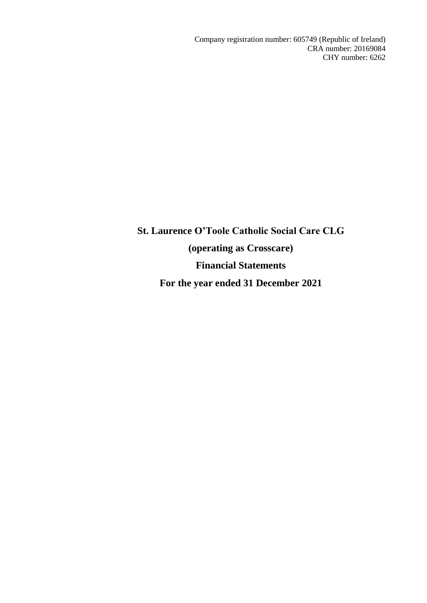Company registration number: 605749 (Republic of Ireland) CRA number: 20169084 CHY number: 6262

**St. Laurence O'Toole Catholic Social Care CLG (operating as Crosscare) Financial Statements For the year ended 31 December 2021**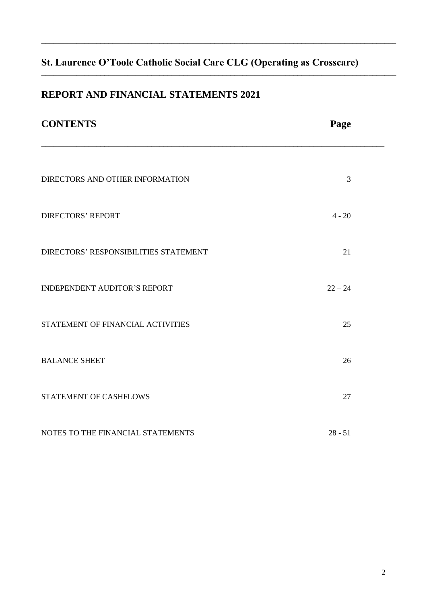\_\_\_\_\_\_\_\_\_\_\_\_\_\_\_\_\_\_\_\_\_\_\_\_\_\_\_\_\_\_\_\_\_\_\_\_\_\_\_\_\_\_\_\_\_\_\_\_\_\_\_\_\_\_\_\_\_\_\_\_\_\_\_\_\_\_\_\_\_\_\_\_\_\_\_\_\_\_\_\_\_\_\_\_\_\_\_\_\_\_

\_\_\_\_\_\_\_\_\_\_\_\_\_\_\_\_\_\_\_\_\_\_\_\_\_\_\_\_\_\_\_\_\_\_\_\_\_\_\_\_\_\_\_\_\_\_\_\_\_\_\_\_\_\_\_\_\_\_\_\_\_\_\_\_\_\_\_\_\_\_\_\_\_\_\_\_\_\_\_\_\_\_\_\_\_\_\_\_\_\_

# **REPORT AND FINANCIAL STATEMENTS 2021**

| <b>CONTENTS</b>                       | Page      |  |
|---------------------------------------|-----------|--|
| DIRECTORS AND OTHER INFORMATION       | 3         |  |
| <b>DIRECTORS' REPORT</b>              | $4 - 20$  |  |
| DIRECTORS' RESPONSIBILITIES STATEMENT | 21        |  |
| <b>INDEPENDENT AUDITOR'S REPORT</b>   | $22 - 24$ |  |
| STATEMENT OF FINANCIAL ACTIVITIES     | 25        |  |
| <b>BALANCE SHEET</b>                  | 26        |  |
| STATEMENT OF CASHFLOWS                | 27        |  |
| NOTES TO THE FINANCIAL STATEMENTS     | $28 - 51$ |  |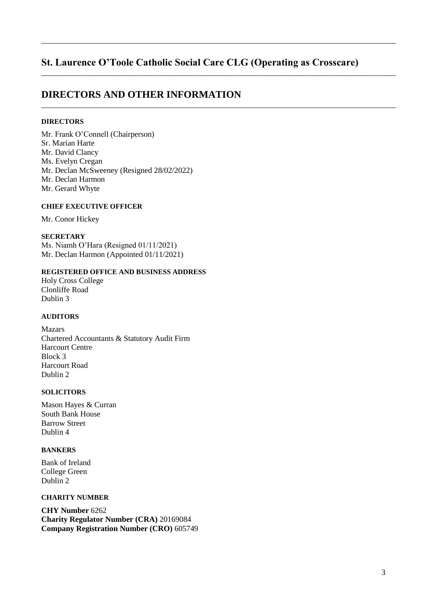\_\_\_\_\_\_\_\_\_\_\_\_\_\_\_\_\_\_\_\_\_\_\_\_\_\_\_\_\_\_\_\_\_\_\_\_\_\_\_\_\_\_\_\_\_\_\_\_\_\_\_\_\_\_\_\_\_\_\_\_\_\_\_\_\_\_\_\_\_\_\_\_\_\_\_\_\_\_\_\_\_\_\_\_\_\_\_\_\_\_

\_\_\_\_\_\_\_\_\_\_\_\_\_\_\_\_\_\_\_\_\_\_\_\_\_\_\_\_\_\_\_\_\_\_\_\_\_\_\_\_\_\_\_\_\_\_\_\_\_\_\_\_\_\_\_\_\_\_\_\_\_\_\_\_\_\_\_\_\_\_\_\_\_\_\_\_\_\_\_\_\_\_\_\_\_\_\_\_\_\_

\_\_\_\_\_\_\_\_\_\_\_\_\_\_\_\_\_\_\_\_\_\_\_\_\_\_\_\_\_\_\_\_\_\_\_\_\_\_\_\_\_\_\_\_\_\_\_\_\_\_\_\_\_\_\_\_\_\_\_\_\_\_\_\_\_\_\_\_\_\_\_\_\_\_\_\_\_\_\_\_\_\_\_\_\_\_\_\_\_\_

# **DIRECTORS AND OTHER INFORMATION**

## **DIRECTORS**

Mr. Frank O'Connell (Chairperson) Sr. Marian Harte Mr. David Clancy Ms. Evelyn Cregan Mr. Declan McSweeney (Resigned 28/02/2022) Mr. Declan Harmon Mr. Gerard Whyte

#### **CHIEF EXECUTIVE OFFICER**

Mr. Conor Hickey

#### **SECRETARY**

Ms. Niamh O'Hara (Resigned  $01/11/2021$ ) Mr. Declan Harmon (Appointed 01/11/2021)

# **REGISTERED OFFICE AND BUSINESS ADDRESS**

Holy Cross College Clonliffe Road Dublin 3

#### **AUDITORS**

Mazars Chartered Accountants & Statutory Audit Firm Harcourt Centre Block 3 Harcourt Road Dublin 2

## **SOLICITORS**

Mason Hayes & Curran South Bank House Barrow Street Dublin 4

## **BANKERS**

Bank of Ireland College Green Dublin 2

## **CHARITY NUMBER**

**CHY Number** 6262 **Charity Regulator Number (CRA)** 20169084 **Company Registration Number (CRO)** 605749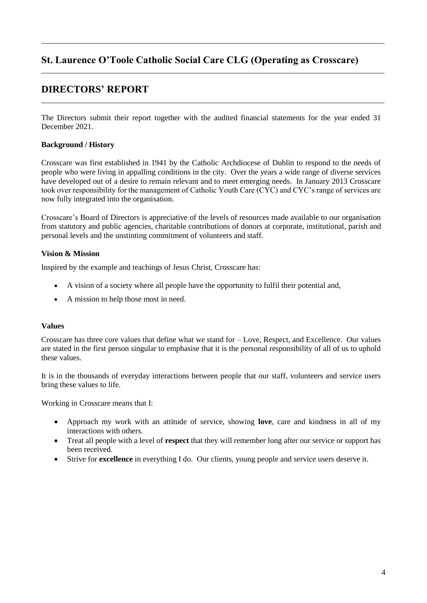\_\_\_\_\_\_\_\_\_\_\_\_\_\_\_\_\_\_\_\_\_\_\_\_\_\_\_\_\_\_\_\_\_\_\_\_\_\_\_\_\_\_\_\_\_\_\_\_\_\_\_\_\_\_\_\_\_\_\_\_\_\_\_\_\_\_\_\_\_\_\_\_\_\_\_\_\_\_\_\_\_\_\_\_\_\_\_

\_\_\_\_\_\_\_\_\_\_\_\_\_\_\_\_\_\_\_\_\_\_\_\_\_\_\_\_\_\_\_\_\_\_\_\_\_\_\_\_\_\_\_\_\_\_\_\_\_\_\_\_\_\_\_\_\_\_\_\_\_\_\_\_\_\_\_\_\_\_\_\_\_\_\_\_\_\_\_\_\_\_\_\_\_\_\_

\_\_\_\_\_\_\_\_\_\_\_\_\_\_\_\_\_\_\_\_\_\_\_\_\_\_\_\_\_\_\_\_\_\_\_\_\_\_\_\_\_\_\_\_\_\_\_\_\_\_\_\_\_\_\_\_\_\_\_\_\_\_\_\_\_\_\_\_\_\_\_\_\_\_\_\_\_\_\_\_\_\_\_\_\_\_\_

# **DIRECTORS' REPORT**

The Directors submit their report together with the audited financial statements for the year ended 31 December 2021.

## **Background / History**

Crosscare was first established in 1941 by the Catholic Archdiocese of Dublin to respond to the needs of people who were living in appalling conditions in the city. Over the years a wide range of diverse services have developed out of a desire to remain relevant and to meet emerging needs. In January 2013 Crosscare took over responsibility for the management of Catholic Youth Care (CYC) and CYC's range of services are now fully integrated into the organisation.

Crosscare's Board of Directors is appreciative of the levels of resources made available to our organisation from statutory and public agencies, charitable contributions of donors at corporate, institutional, parish and personal levels and the unstinting commitment of volunteers and staff.

### **Vision & Mission**

Inspired by the example and teachings of Jesus Christ, Crosscare has:

- A vision of a society where all people have the opportunity to fulfil their potential and,
- A mission to help those most in need.

### **Values**

Crosscare has three core values that define what we stand for  $-$  Love, Respect, and Excellence. Our values are stated in the first person singular to emphasise that it is the personal responsibility of all of us to uphold these values.

It is in the thousands of everyday interactions between people that our staff, volunteers and service users bring these values to life.

Working in Crosscare means that I:

- ( Approach my work with an attitude of service, showing **love**, care and kindness in all of my interactions with others.
- Treat all people with a level of **respect** that they will remember long after our service or support has been received.
- ( Strive for **excellence** in everything I do. Our clients, young people and service users deserve it.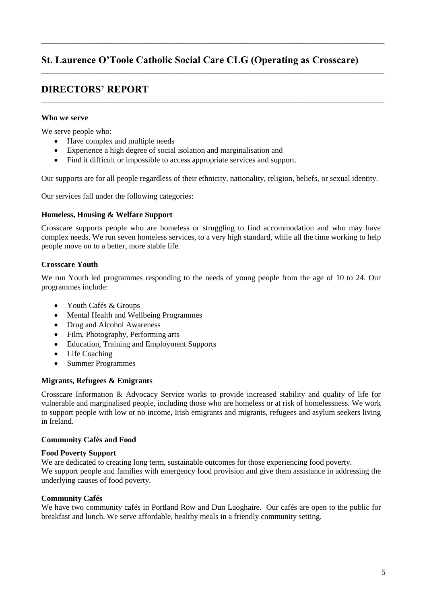\_\_\_\_\_\_\_\_\_\_\_\_\_\_\_\_\_\_\_\_\_\_\_\_\_\_\_\_\_\_\_\_\_\_\_\_\_\_\_\_\_\_\_\_\_\_\_\_\_\_\_\_\_\_\_\_\_\_\_\_\_\_\_\_\_\_\_\_\_\_\_\_\_\_\_\_\_\_\_\_\_\_\_\_\_\_\_

\_\_\_\_\_\_\_\_\_\_\_\_\_\_\_\_\_\_\_\_\_\_\_\_\_\_\_\_\_\_\_\_\_\_\_\_\_\_\_\_\_\_\_\_\_\_\_\_\_\_\_\_\_\_\_\_\_\_\_\_\_\_\_\_\_\_\_\_\_\_\_\_\_\_\_\_\_\_\_\_\_\_\_\_\_\_\_

\_\_\_\_\_\_\_\_\_\_\_\_\_\_\_\_\_\_\_\_\_\_\_\_\_\_\_\_\_\_\_\_\_\_\_\_\_\_\_\_\_\_\_\_\_\_\_\_\_\_\_\_\_\_\_\_\_\_\_\_\_\_\_\_\_\_\_\_\_\_\_\_\_\_\_\_\_\_\_\_\_\_\_\_\_\_\_

# **DIRECTORS' REPORT**

## **Who we serve**

We serve people who:

- $\bullet$  Have complex and multiple needs
- Experience a high degree of social isolation and marginalisation and
- Find it difficult or impossible to access appropriate services and support.

Our supports are for all people regardless of their ethnicity, nationality, religion, beliefs, or sexual identity.

Our services fall under the following categories:

## **Homeless, Housing & Welfare Support**

Crosscare supports people who are homeless or struggling to find accommodation and who may have complex needs. We run seven homeless services, to a very high standard, while all the time working to help people move on to a better, more stable life.

## **Crosscare Youth**

We run Youth led programmes responding to the needs of young people from the age of 10 to 24. Our programmes include:

- Youth Cafés & Groups
- ( Mental Health and Wellbeing Programmes
- Drug and Alcohol Awareness
- Film, Photography, Performing arts
- Education, Training and Employment Supports
- $\bullet$  Life Coaching
- Summer Programmes

# **Migrants, Refugees & Emigrants**

Crosscare Information & Advocacy Service works to provide increased stability and quality of life for vulnerable and marginalised people, including those who are homeless or at risk of homelessness. We work to support people with low or no income, Irish emigrants and migrants, refugees and asylum seekers living in Ireland.

### **Community Cafés and Food**

### **Food Poverty Support**

We are dedicated to creating long term, sustainable outcomes for those experiencing food poverty. We support people and families with emergency food provision and give them assistance in addressing the underlying causes of food poverty.

### **Community Cafés**

We have two community cafés in Portland Row and Dun Laoghaire. Our cafés are open to the public for breakfast and lunch. We serve affordable, healthy meals in a friendly community setting.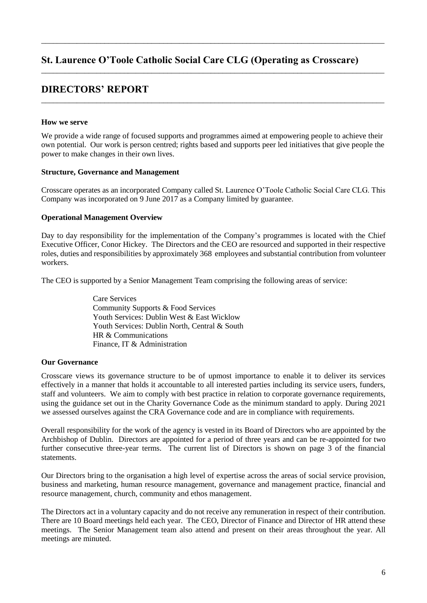\_\_\_\_\_\_\_\_\_\_\_\_\_\_\_\_\_\_\_\_\_\_\_\_\_\_\_\_\_\_\_\_\_\_\_\_\_\_\_\_\_\_\_\_\_\_\_\_\_\_\_\_\_\_\_\_\_\_\_\_\_\_\_\_\_\_\_\_\_\_\_\_\_\_\_\_\_\_\_\_\_\_\_\_\_\_\_

\_\_\_\_\_\_\_\_\_\_\_\_\_\_\_\_\_\_\_\_\_\_\_\_\_\_\_\_\_\_\_\_\_\_\_\_\_\_\_\_\_\_\_\_\_\_\_\_\_\_\_\_\_\_\_\_\_\_\_\_\_\_\_\_\_\_\_\_\_\_\_\_\_\_\_\_\_\_\_\_\_\_\_\_\_\_\_

\_\_\_\_\_\_\_\_\_\_\_\_\_\_\_\_\_\_\_\_\_\_\_\_\_\_\_\_\_\_\_\_\_\_\_\_\_\_\_\_\_\_\_\_\_\_\_\_\_\_\_\_\_\_\_\_\_\_\_\_\_\_\_\_\_\_\_\_\_\_\_\_\_\_\_\_\_\_\_\_\_\_\_\_\_\_\_

# **DIRECTORS' REPORT**

### **How we serve**

We provide a wide range of focused supports and programmes aimed at empowering people to achieve their own potential. Our work is person centred; rights based and supports peer led initiatives that give people the power to make changes in their own lives.

### **Structure, Governance and Management**

Crosscare operates as an incorporated Company called St. Laurence O'Toole Catholic Social Care CLG. This Company was incorporated on 9 June 2017 as a Company limited by guarantee.

### **Operational Management Overview**

Day to day responsibility for the implementation of the Company's programmes is located with the Chief Executive Officer, Conor Hickey. The Directors and the CEO are resourced and supported in their respective roles, duties and responsibilities by approximately 368 employees and substantial contribution from volunteer workers.

The CEO is supported by a Senior Management Team comprising the following areas of service:

Care Services Community Supports & Food Services Youth Services: Dublin West & East Wicklow Youth Services: Dublin North, Central & South HR & Communications Finance, IT & Administration

### **Our Governance**

Crosscare views its governance structure to be of upmost importance to enable it to deliver its services effectively in a manner that holds it accountable to all interested parties including its service users, funders, staff and volunteers. We aim to comply with best practice in relation to corporate governance requirements, using the guidance set out in the Charity Governance Code as the minimum standard to apply. During 2021 we assessed ourselves against the CRA Governance code and are in compliance with requirements.

Overall responsibility for the work of the agency is vested in its Board of Directors who are appointed by the Archbishop of Dublin. Directors are appointed for a period of three years and can be re-appointed for two further consecutive three-year terms. The current list of Directors is shown on page 3 of the financial statements.

Our Directors bring to the organisation a high level of expertise across the areas of social service provision, business and marketing, human resource management, governance and management practice, financial and resource management, church, community and ethos management.

The Directors act in a voluntary capacity and do not receive any remuneration in respect of their contribution. There are 10 Board meetings held each year. The CEO, Director of Finance and Director of HR attend these meetings. The Senior Management team also attend and present on their areas throughout the year. All meetings are minuted.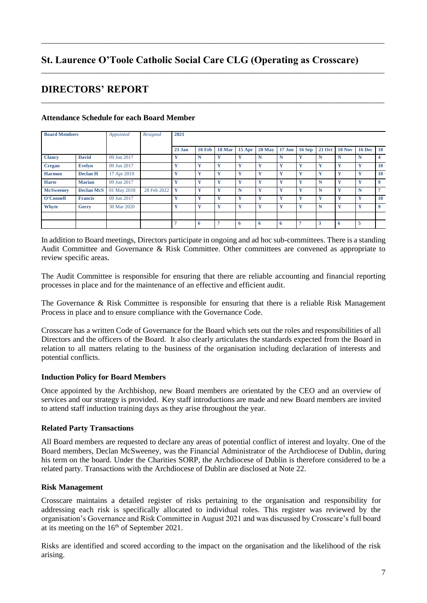\_\_\_\_\_\_\_\_\_\_\_\_\_\_\_\_\_\_\_\_\_\_\_\_\_\_\_\_\_\_\_\_\_\_\_\_\_\_\_\_\_\_\_\_\_\_\_\_\_\_\_\_\_\_\_\_\_\_\_\_\_\_\_\_\_\_\_\_\_\_\_\_\_\_\_\_\_\_\_\_\_\_\_\_\_\_\_

\_\_\_\_\_\_\_\_\_\_\_\_\_\_\_\_\_\_\_\_\_\_\_\_\_\_\_\_\_\_\_\_\_\_\_\_\_\_\_\_\_\_\_\_\_\_\_\_\_\_\_\_\_\_\_\_\_\_\_\_\_\_\_\_\_\_\_\_\_\_\_\_\_\_\_\_\_\_\_\_\_\_\_\_\_\_\_

\_\_\_\_\_\_\_\_\_\_\_\_\_\_\_\_\_\_\_\_\_\_\_\_\_\_\_\_\_\_\_\_\_\_\_\_\_\_\_\_\_\_\_\_\_\_\_\_\_\_\_\_\_\_\_\_\_\_\_\_\_\_\_\_\_\_\_\_\_\_\_\_\_\_\_\_\_\_\_\_\_\_\_\_\_\_\_

# **DIRECTORS' REPORT**

| <b>Board Members</b> |                   | Appointed   | Resigned    | 2021   |        |        |              |             |          |                |               |               |               |                   |
|----------------------|-------------------|-------------|-------------|--------|--------|--------|--------------|-------------|----------|----------------|---------------|---------------|---------------|-------------------|
|                      |                   |             |             |        |        |        |              |             |          |                |               |               |               |                   |
|                      |                   |             |             | 21 Jan | 18 Feb | 18 Mar | 15 Apr       | $20$ May    | $17$ Jun | $16$ Sep       | <b>21 Oct</b> | <b>18 Nov</b> | <b>16 Dec</b> | $\blacksquare$ 10 |
| <b>Clancy</b>        | <b>David</b>      | 09 Jun 2017 |             | Y      | N      | Y      | Y            | $\mathbf N$ | N        | Y              | $\mathbf N$   | N             | N             | 4                 |
| Cregan               | <b>Evelyn</b>     | 09 Jun 2017 |             | X<br>x | Y      | Y      | Y            | Y           | Y        | Y              | Y             | Y             | Y             | 10                |
| <b>Harmon</b>        | <b>Declan H</b>   | 17 Apr 2019 |             | Y      | Y      | Y      | $\mathbf{v}$ | Y           | Y        | Y              | Y             | Y             | v             | 10                |
| <b>Harte</b>         | <b>Marian</b>     | 09 Jun 2017 |             | X      | Y      | Y      | $\mathbf{v}$ | Y           | Y        | Y              | $\mathbb N$   | Y             | v             | $\mathbf Q$       |
| <b>McSweenev</b>     | <b>Declan McS</b> | 01 May 2018 | 28 Feb 2022 | Y      | Y      | Y      | N            | Y           | Y        | Y              | $\mathbf N$   | Y             | N             | E.                |
| O'Connell            | <b>Francis</b>    | 09 Jun 2017 |             | Y      | Y      | Y      | $\mathbf{v}$ | Y           | Y        | Y              | Y             | Y             | $\mathbf{v}$  | 10                |
| Whyte                | Gerry             | 30 Mar 2020 |             | Y      | Y      | Y      | $\mathbf{v}$ | Y           | Y        | Y              | N             | Y             | v             | 9                 |
|                      |                   |             |             |        |        |        |              |             |          |                |               |               |               |                   |
|                      |                   |             |             |        | -6     | 7      | 6            | -6          | -6       | $\overline{ }$ | 3             | -6            | 5             |                   |

## **Attendance Schedule for each Board Member**

In addition to Board meetings, Directors participate in ongoing and ad hoc sub-committees. There is a standing Audit Committee and Governance & Risk Committee. Other committees are convened as appropriate to review specific areas.

The Audit Committee is responsible for ensuring that there are reliable accounting and financial reporting processes in place and for the maintenance of an effective and efficient audit.

The Governance & Risk Committee is responsible for ensuring that there is a reliable Risk Management Process in place and to ensure compliance with the Governance Code.

Crosscare has a written Code of Governance for the Board which sets out the roles and responsibilities of all Directors and the officers of the Board. It also clearly articulates the standards expected from the Board in relation to all matters relating to the business of the organisation including declaration of interests and potential conflicts.

### **Induction Policy for Board Members**

Once appointed by the Archbishop, new Board members are orientated by the CEO and an overview of services and our strategy is provided. Key staff introductions are made and new Board members are invited to attend staff induction training days as they arise throughout the year.

### **Related Party Transactions**

All Board members are requested to declare any areas of potential conflict of interest and loyalty. One of the Board members, Declan McSweeney, was the Financial Administrator of the Archdiocese of Dublin, during his term on the board. Under the Charities SORP, the Archdiocese of Dublin is therefore considered to be a related party. Transactions with the Archdiocese of Dublin are disclosed at Note 22.

### **Risk Management**

Crosscare maintains a detailed register of risks pertaining to the organisation and responsibility for addressing each risk is specifically allocated to individual roles. This register was reviewed by the organisation's Governance and Risk Committee in August 2021 and was discussed by Crosscare's full board at its meeting on the  $16<sup>th</sup>$  of September 2021.

Risks are identified and scored according to the impact on the organisation and the likelihood of the risk arising.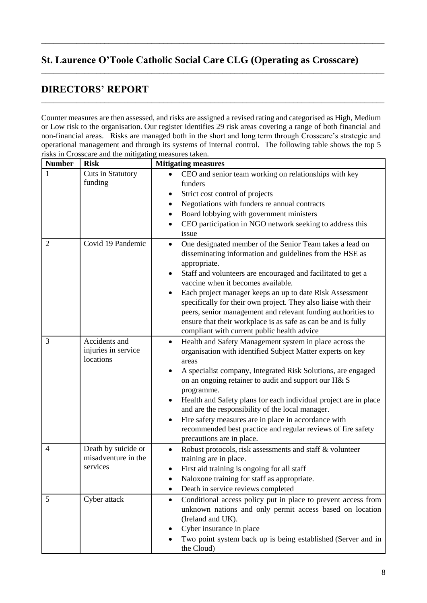\_\_\_\_\_\_\_\_\_\_\_\_\_\_\_\_\_\_\_\_\_\_\_\_\_\_\_\_\_\_\_\_\_\_\_\_\_\_\_\_\_\_\_\_\_\_\_\_\_\_\_\_\_\_\_\_\_\_\_\_\_\_\_\_\_\_\_\_\_\_\_\_\_\_\_\_\_\_\_\_\_\_\_\_\_\_\_

\_\_\_\_\_\_\_\_\_\_\_\_\_\_\_\_\_\_\_\_\_\_\_\_\_\_\_\_\_\_\_\_\_\_\_\_\_\_\_\_\_\_\_\_\_\_\_\_\_\_\_\_\_\_\_\_\_\_\_\_\_\_\_\_\_\_\_\_\_\_\_\_\_\_\_\_\_\_\_\_\_\_\_\_\_\_\_

\_\_\_\_\_\_\_\_\_\_\_\_\_\_\_\_\_\_\_\_\_\_\_\_\_\_\_\_\_\_\_\_\_\_\_\_\_\_\_\_\_\_\_\_\_\_\_\_\_\_\_\_\_\_\_\_\_\_\_\_\_\_\_\_\_\_\_\_\_\_\_\_\_\_\_\_\_\_\_\_\_\_\_\_\_\_\_

# **DIRECTORS' REPORT**

Counter measures are then assessed, and risks are assigned a revised rating and categorised as High, Medium or Low risk to the organisation. Our register identifies 29 risk areas covering a range of both financial and non-financial areas. Risks are managed both in the short and long term through Crosscare's strategic and operational management and through its systems of internal control. The following table shows the top 5 risks in Crosscare and the mitigating measures taken.

| <b>Number</b>  | <b>Risk</b>                                            | <b>Mitigating measures</b>                                                                                                                                                                                                                                                                                                                                                                                                                                                                                                                                          |
|----------------|--------------------------------------------------------|---------------------------------------------------------------------------------------------------------------------------------------------------------------------------------------------------------------------------------------------------------------------------------------------------------------------------------------------------------------------------------------------------------------------------------------------------------------------------------------------------------------------------------------------------------------------|
| 1              | Cuts in Statutory                                      | CEO and senior team working on relationships with key                                                                                                                                                                                                                                                                                                                                                                                                                                                                                                               |
|                | funding                                                | funders                                                                                                                                                                                                                                                                                                                                                                                                                                                                                                                                                             |
|                |                                                        | Strict cost control of projects<br>٠                                                                                                                                                                                                                                                                                                                                                                                                                                                                                                                                |
|                |                                                        | Negotiations with funders re annual contracts<br>٠                                                                                                                                                                                                                                                                                                                                                                                                                                                                                                                  |
|                |                                                        | Board lobbying with government ministers<br>$\bullet$                                                                                                                                                                                                                                                                                                                                                                                                                                                                                                               |
|                |                                                        | CEO participation in NGO network seeking to address this                                                                                                                                                                                                                                                                                                                                                                                                                                                                                                            |
|                |                                                        | issue                                                                                                                                                                                                                                                                                                                                                                                                                                                                                                                                                               |
| $\overline{2}$ | Covid 19 Pandemic                                      | One designated member of the Senior Team takes a lead on<br>$\bullet$<br>disseminating information and guidelines from the HSE as<br>appropriate.<br>Staff and volunteers are encouraged and facilitated to get a<br>٠                                                                                                                                                                                                                                                                                                                                              |
|                |                                                        | vaccine when it becomes available.                                                                                                                                                                                                                                                                                                                                                                                                                                                                                                                                  |
|                |                                                        | Each project manager keeps an up to date Risk Assessment<br>specifically for their own project. They also liaise with their<br>peers, senior management and relevant funding authorities to<br>ensure that their workplace is as safe as can be and is fully<br>compliant with current public health advice                                                                                                                                                                                                                                                         |
| 3              | Accidents and<br>injuries in service<br>locations      | Health and Safety Management system in place across the<br>$\bullet$<br>organisation with identified Subject Matter experts on key<br>areas<br>A specialist company, Integrated Risk Solutions, are engaged<br>on an ongoing retainer to audit and support our H& S<br>programme.<br>Health and Safety plans for each individual project are in place<br>and are the responsibility of the local manager.<br>Fire safety measures are in place in accordance with<br>٠<br>recommended best practice and regular reviews of fire safety<br>precautions are in place. |
| 4              | Death by suicide or<br>misadventure in the<br>services | Robust protocols, risk assessments and staff & volunteer<br>$\bullet$<br>training are in place.<br>First aid training is ongoing for all staff<br>Naloxone training for staff as appropriate.<br>Death in service reviews completed                                                                                                                                                                                                                                                                                                                                 |
| 5              | Cyber attack                                           | Conditional access policy put in place to prevent access from<br>$\bullet$<br>unknown nations and only permit access based on location<br>(Ireland and UK).<br>Cyber insurance in place<br>Two point system back up is being established (Server and in<br>the Cloud)                                                                                                                                                                                                                                                                                               |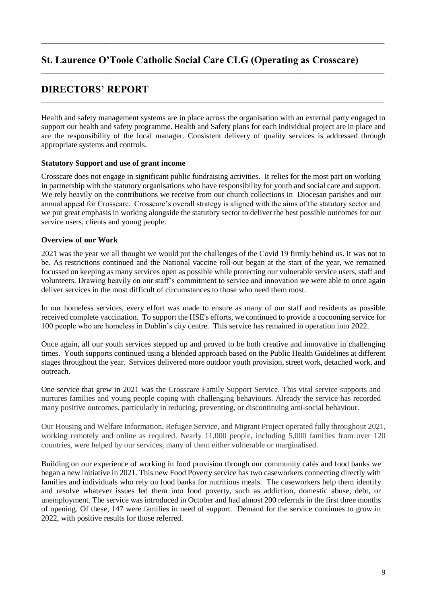\_\_\_\_\_\_\_\_\_\_\_\_\_\_\_\_\_\_\_\_\_\_\_\_\_\_\_\_\_\_\_\_\_\_\_\_\_\_\_\_\_\_\_\_\_\_\_\_\_\_\_\_\_\_\_\_\_\_\_\_\_\_\_\_\_\_\_\_\_\_\_\_\_\_\_\_\_\_\_\_\_\_\_\_\_\_\_

\_\_\_\_\_\_\_\_\_\_\_\_\_\_\_\_\_\_\_\_\_\_\_\_\_\_\_\_\_\_\_\_\_\_\_\_\_\_\_\_\_\_\_\_\_\_\_\_\_\_\_\_\_\_\_\_\_\_\_\_\_\_\_\_\_\_\_\_\_\_\_\_\_\_\_\_\_\_\_\_\_\_\_\_\_\_\_

\_\_\_\_\_\_\_\_\_\_\_\_\_\_\_\_\_\_\_\_\_\_\_\_\_\_\_\_\_\_\_\_\_\_\_\_\_\_\_\_\_\_\_\_\_\_\_\_\_\_\_\_\_\_\_\_\_\_\_\_\_\_\_\_\_\_\_\_\_\_\_\_\_\_\_\_\_\_\_\_\_\_\_\_\_\_\_

# **DIRECTORS' REPORT**

Health and safety management systems are in place across the organisation with an external party engaged to support our health and safety programme. Health and Safety plans for each individual project are in place and are the responsibility of the local manager. Consistent delivery of quality services is addressed through appropriate systems and controls.

## **Statutory Support and use of grant income**

Crosscare does not engage in significant public fundraising activities. It relies for the most part on working in partnership with the statutory organisations who have responsibility for youth and social care and support. We rely heavily on the contributions we receive from our church collections in Diocesan parishes and our annual appeal for Crosscare. Crosscare's overall strategy is aligned with the aims of the statutory sector and we put great emphasis in working alongside the statutory sector to deliver the best possible outcomes for our service users, clients and young people.

## **Overview of our Work**

2021 was the year we all thought we would put the challenges of the Covid 19 firmly behind us. It was not to be. As restrictions continued and the National vaccine roll-out began at the start of the year, we remained focussed on keeping as many services open as possible while protecting our vulnerable service users, staff and volunteers. Drawing heavily on our staff's commitment to service and innovation we were able to once again deliver services in the most difficult of circumstances to those who need them most.

In our homeless services, every effort was made to ensure as many of our staff and residents as possible received complete vaccination. To support the HSE's efforts, we continued to provide a cocooning service for 100 people who are homeless in Dublin's city centre. This service has remained in operation into 2022.

Once again, all our youth services stepped up and proved to be both creative and innovative in challenging times. Youth supports continued using a blended approach based on the Public Health Guidelines at different stages throughout the year. Services delivered more outdoor youth provision, street work, detached work, and outreach.

One service that grew in 2021 was the Crosscare Family Support Service. This vital service supports and nurtures families and young people coping with challenging behaviours. Already the service has recorded many positive outcomes, particularly in reducing, preventing, or discontinuing anti-social behaviour.

Our Housing and Welfare Information, Refugee Service, and Migrant Project operated fully throughout 2021, working remotely and online as required. Nearly 11,000 people, including 5,000 families from over 120 countries, were helped by our services, many of them either vulnerable or marginalised.

Building on our experience of working in food provision through our community cafés and food banks we began a new initiative in 2021. This new Food Poverty service has two caseworkers connecting directly with families and individuals who rely on food banks for nutritious meals. The caseworkers help them identify and resolve whatever issues led them into food poverty, such as addiction, domestic abuse, debt, or unemployment. The service was introduced in October and had almost 200 referrals in the first three months of opening. Of these, 147 were families in need of support. Demand for the service continues to grow in 2022, with positive results for those referred.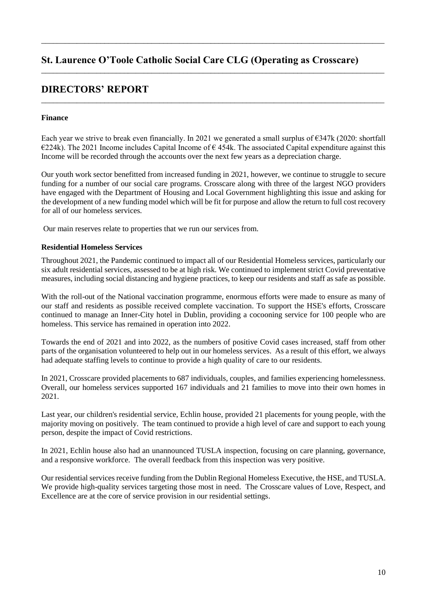\_\_\_\_\_\_\_\_\_\_\_\_\_\_\_\_\_\_\_\_\_\_\_\_\_\_\_\_\_\_\_\_\_\_\_\_\_\_\_\_\_\_\_\_\_\_\_\_\_\_\_\_\_\_\_\_\_\_\_\_\_\_\_\_\_\_\_\_\_\_\_\_\_\_\_\_\_\_\_\_\_\_\_\_\_\_\_

\_\_\_\_\_\_\_\_\_\_\_\_\_\_\_\_\_\_\_\_\_\_\_\_\_\_\_\_\_\_\_\_\_\_\_\_\_\_\_\_\_\_\_\_\_\_\_\_\_\_\_\_\_\_\_\_\_\_\_\_\_\_\_\_\_\_\_\_\_\_\_\_\_\_\_\_\_\_\_\_\_\_\_\_\_\_\_

\_\_\_\_\_\_\_\_\_\_\_\_\_\_\_\_\_\_\_\_\_\_\_\_\_\_\_\_\_\_\_\_\_\_\_\_\_\_\_\_\_\_\_\_\_\_\_\_\_\_\_\_\_\_\_\_\_\_\_\_\_\_\_\_\_\_\_\_\_\_\_\_\_\_\_\_\_\_\_\_\_\_\_\_\_\_\_

# **DIRECTORS' REPORT**

## **Finance**

Each year we strive to break even financially. In 2021 we generated a small surplus of  $\epsilon$ 347k (2020: shortfall  $\epsilon$ 224k). The 2021 Income includes Capital Income of  $\epsilon$  454k. The associated Capital expenditure against this Income will be recorded through the accounts over the next few years as a depreciation charge.

Our youth work sector benefitted from increased funding in 2021, however, we continue to struggle to secure funding for a number of our social care programs. Crosscare along with three of the largest NGO providers have engaged with the Department of Housing and Local Government highlighting this issue and asking for the development of a new funding model which will be fit for purpose and allow the return to full cost recovery for all of our homeless services.

Our main reserves relate to properties that we run our services from.

### **Residential Homeless Services**

Throughout 2021, the Pandemic continued to impact all of our Residential Homeless services, particularly our six adult residential services, assessed to be at high risk. We continued to implement strict Covid preventative measures, including social distancing and hygiene practices, to keep our residents and staff as safe as possible.

With the roll-out of the National vaccination programme, enormous efforts were made to ensure as many of our staff and residents as possible received complete vaccination. To support the HSE's efforts, Crosscare continued to manage an Inner-City hotel in Dublin, providing a cocooning service for 100 people who are homeless. This service has remained in operation into 2022.

Towards the end of 2021 and into 2022, as the numbers of positive Covid cases increased, staff from other parts of the organisation volunteered to help out in our homeless services. As a result of this effort, we always had adequate staffing levels to continue to provide a high quality of care to our residents.

In 2021, Crosscare provided placements to 687 individuals, couples, and families experiencing homelessness. Overall, our homeless services supported 167 individuals and 21 families to move into their own homes in 2021.

Last year, our children's residential service, Echlin house, provided 21 placements for young people, with the majority moving on positively. The team continued to provide a high level of care and support to each young person, despite the impact of Covid restrictions.

In 2021, Echlin house also had an unannounced TUSLA inspection, focusing on care planning, governance, and a responsive workforce. The overall feedback from this inspection was very positive.

Our residential services receive funding from the Dublin Regional Homeless Executive, the HSE, and TUSLA. We provide high-quality services targeting those most in need. The Crosscare values of Love, Respect, and Excellence are at the core of service provision in our residential settings.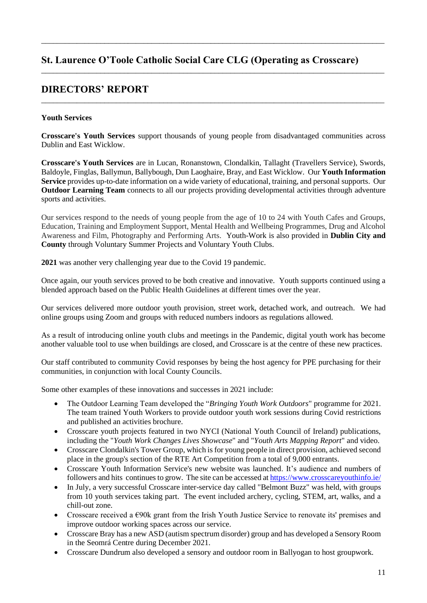\_\_\_\_\_\_\_\_\_\_\_\_\_\_\_\_\_\_\_\_\_\_\_\_\_\_\_\_\_\_\_\_\_\_\_\_\_\_\_\_\_\_\_\_\_\_\_\_\_\_\_\_\_\_\_\_\_\_\_\_\_\_\_\_\_\_\_\_\_\_\_\_\_\_\_\_\_\_\_\_\_\_\_\_\_\_\_

\_\_\_\_\_\_\_\_\_\_\_\_\_\_\_\_\_\_\_\_\_\_\_\_\_\_\_\_\_\_\_\_\_\_\_\_\_\_\_\_\_\_\_\_\_\_\_\_\_\_\_\_\_\_\_\_\_\_\_\_\_\_\_\_\_\_\_\_\_\_\_\_\_\_\_\_\_\_\_\_\_\_\_\_\_\_\_

\_\_\_\_\_\_\_\_\_\_\_\_\_\_\_\_\_\_\_\_\_\_\_\_\_\_\_\_\_\_\_\_\_\_\_\_\_\_\_\_\_\_\_\_\_\_\_\_\_\_\_\_\_\_\_\_\_\_\_\_\_\_\_\_\_\_\_\_\_\_\_\_\_\_\_\_\_\_\_\_\_\_\_\_\_\_\_

# **DIRECTORS' REPORT**

# **Youth Services**

**Crosscare's Youth Services** support thousands of young people from disadvantaged communities across Dublin and East Wicklow.

**Crosscare's Youth Services** are in Lucan, Ronanstown, Clondalkin, Tallaght (Travellers Service), Swords, Baldoyle, Finglas, Ballymun, Ballybough, Dun Laoghaire, Bray, and East Wicklow. Our **Youth Information Service** provides up-to-date information on a wide variety of educational, training, and personal supports. Our **Outdoor Learning Team** connects to all our projects providing developmental activities through adventure sports and activities.

Our services respond to the needs of young people from the age of 10 to 24 with Youth Cafes and Groups, Education, Training and Employment Support, Mental Health and Wellbeing Programmes, Drug and Alcohol Awareness and Film, Photography and Performing Arts. Youth-Work is also provided in **Dublin City and County** through Voluntary Summer Projects and Voluntary Youth Clubs.

**2021** was another very challenging year due to the Covid 19 pandemic.

Once again, our youth services proved to be both creative and innovative. Youth supports continued using a blended approach based on the Public Health Guidelines at different times over the year.

Our services delivered more outdoor youth provision, street work, detached work, and outreach. We had online groups using Zoom and groups with reduced numbers indoors as regulations allowed.

As a result of introducing online youth clubs and meetings in the Pandemic, digital youth work has become another valuable tool to use when buildings are closed, and Crosscare is at the centre of these new practices.

Our staff contributed to community Covid responses by being the host agency for PPE purchasing for their communities, in conjunction with local County Councils.

Some other examples of these innovations and successes in 2021 include:

- The Outdoor Learning Team developed the "*Bringing Youth Work Outdoors*" programme for 2021. The team trained Youth Workers to provide outdoor youth work sessions during Covid restrictions and published an activities brochure.
- Crosscare youth projects featured in two NYCI (National Youth Council of Ireland) publications, including the "*Youth Work Changes Lives Showcase*" and "*Youth Arts Mapping Report*" and video.
- Crosscare Clondalkin's Tower Group, which is for young people in direct provision, achieved second place in the group's section of the RTE Art Competition from a total of 9,000 entrants.
- Crosscare Youth Information Service's new website was launched. It's audience and numbers of followers and hits continues to grow. The site can be accessed at https://www.crosscareyouthinfo.ie/
- In July, a very successful Crosscare inter-service day called "Belmont Buzz" was held, with groups from 10 youth services taking part. The event included archery, cycling, STEM, art, walks, and a chill-out zone.
- Crosscare received a  $\epsilon$ 90k grant from the Irish Youth Justice Service to renovate its' premises and improve outdoor working spaces across our service.
- Crosscare Bray has a new ASD (autism spectrum disorder) group and has developed a Sensory Room in the Seomrá Centre during December 2021.
- ( Crosscare Dundrum also developed a sensory and outdoor room in Ballyogan to host groupwork.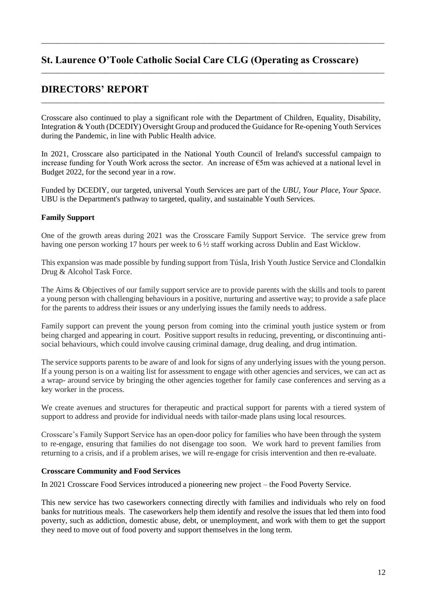\_\_\_\_\_\_\_\_\_\_\_\_\_\_\_\_\_\_\_\_\_\_\_\_\_\_\_\_\_\_\_\_\_\_\_\_\_\_\_\_\_\_\_\_\_\_\_\_\_\_\_\_\_\_\_\_\_\_\_\_\_\_\_\_\_\_\_\_\_\_\_\_\_\_\_\_\_\_\_\_\_\_\_\_\_\_\_

\_\_\_\_\_\_\_\_\_\_\_\_\_\_\_\_\_\_\_\_\_\_\_\_\_\_\_\_\_\_\_\_\_\_\_\_\_\_\_\_\_\_\_\_\_\_\_\_\_\_\_\_\_\_\_\_\_\_\_\_\_\_\_\_\_\_\_\_\_\_\_\_\_\_\_\_\_\_\_\_\_\_\_\_\_\_\_

\_\_\_\_\_\_\_\_\_\_\_\_\_\_\_\_\_\_\_\_\_\_\_\_\_\_\_\_\_\_\_\_\_\_\_\_\_\_\_\_\_\_\_\_\_\_\_\_\_\_\_\_\_\_\_\_\_\_\_\_\_\_\_\_\_\_\_\_\_\_\_\_\_\_\_\_\_\_\_\_\_\_\_\_\_\_\_

# **DIRECTORS' REPORT**

Crosscare also continued to play a significant role with the Department of Children, Equality, Disability, Integration & Youth (DCEDIY) Oversight Group and produced the Guidance for Re-opening Youth Services during the Pandemic, in line with Public Health advice.

In 2021, Crosscare also participated in the National Youth Council of Ireland's successful campaign to increase funding for Youth Work across the sector. An increase of  $\epsilon$ 5m was achieved at a national level in Budget 2022, for the second year in a row.

Funded by DCEDIY, our targeted, universal Youth Services are part of the *UBU, Your Place, Your Space*. UBU is the Department's pathway to targeted, quality, and sustainable Youth Services.

# **Family Support**

One of the growth areas during 2021 was the Crosscare Family Support Service. The service grew from having one person working 17 hours per week to 6 ½ staff working across Dublin and East Wicklow.

This expansion was made possible by funding support from Túsla, Irish Youth Justice Service and Clondalkin Drug & Alcohol Task Force.

The Aims & Objectives of our family support service are to provide parents with the skills and tools to parent a young person with challenging behaviours in a positive, nurturing and assertive way; to provide a safe place for the parents to address their issues or any underlying issues the family needs to address.

Family support can prevent the young person from coming into the criminal youth justice system or from being charged and appearing in court. Positive support results in reducing, preventing, or discontinuing antisocial behaviours, which could involve causing criminal damage, drug dealing, and drug intimation.

The service supports parents to be aware of and look for signs of any underlying issues with the young person. If a young person is on a waiting list for assessment to engage with other agencies and services, we can act as a wrap- around service by bringing the other agencies together for family case conferences and serving as a key worker in the process.

We create avenues and structures for therapeutic and practical support for parents with a tiered system of support to address and provide for individual needs with tailor-made plans using local resources.

Crosscare's Family Support Service has an open-door policy for families who have been through the system to re-engage, ensuring that families do not disengage too soon. We work hard to prevent families from returning to a crisis, and if a problem arises, we will re-engage for crisis intervention and then re-evaluate.

### **Crosscare Community and Food Services**

In 2021 Crosscare Food Services introduced a pioneering new project – the Food Poverty Service.

This new service has two caseworkers connecting directly with families and individuals who rely on food banks for nutritious meals. The caseworkers help them identify and resolve the issues that led them into food poverty, such as addiction, domestic abuse, debt, or unemployment, and work with them to get the support they need to move out of food poverty and support themselves in the long term.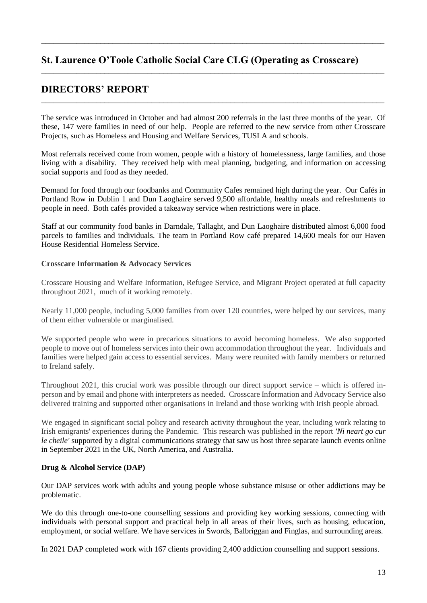\_\_\_\_\_\_\_\_\_\_\_\_\_\_\_\_\_\_\_\_\_\_\_\_\_\_\_\_\_\_\_\_\_\_\_\_\_\_\_\_\_\_\_\_\_\_\_\_\_\_\_\_\_\_\_\_\_\_\_\_\_\_\_\_\_\_\_\_\_\_\_\_\_\_\_\_\_\_\_\_\_\_\_\_\_\_\_

\_\_\_\_\_\_\_\_\_\_\_\_\_\_\_\_\_\_\_\_\_\_\_\_\_\_\_\_\_\_\_\_\_\_\_\_\_\_\_\_\_\_\_\_\_\_\_\_\_\_\_\_\_\_\_\_\_\_\_\_\_\_\_\_\_\_\_\_\_\_\_\_\_\_\_\_\_\_\_\_\_\_\_\_\_\_\_

\_\_\_\_\_\_\_\_\_\_\_\_\_\_\_\_\_\_\_\_\_\_\_\_\_\_\_\_\_\_\_\_\_\_\_\_\_\_\_\_\_\_\_\_\_\_\_\_\_\_\_\_\_\_\_\_\_\_\_\_\_\_\_\_\_\_\_\_\_\_\_\_\_\_\_\_\_\_\_\_\_\_\_\_\_\_\_

# **DIRECTORS' REPORT**

The service was introduced in October and had almost 200 referrals in the last three months of the year. Of these, 147 were families in need of our help. People are referred to the new service from other Crosscare Projects, such as Homeless and Housing and Welfare Services, TUSLA and schools.

Most referrals received come from women, people with a history of homelessness, large families, and those living with a disability. They received help with meal planning, budgeting, and information on accessing social supports and food as they needed.

Demand for food through our foodbanks and Community Cafes remained high during the year. Our Cafés in Portland Row in Dublin 1 and Dun Laoghaire served 9,500 affordable, healthy meals and refreshments to people in need. Both cafés provided a takeaway service when restrictions were in place.

Staff at our community food banks in Darndale, Tallaght, and Dun Laoghaire distributed almost 6,000 food parcels to families and individuals. The team in Portland Row café prepared 14,600 meals for our Haven House Residential Homeless Service.

## **Crosscare Information & Advocacy Services**

Crosscare Housing and Welfare Information, Refugee Service, and Migrant Project operated at full capacity throughout 2021, much of it working remotely.

Nearly 11,000 people, including 5,000 families from over 120 countries, were helped by our services, many of them either vulnerable or marginalised.

We supported people who were in precarious situations to avoid becoming homeless. We also supported people to move out of homeless services into their own accommodation throughout the year. Individuals and families were helped gain access to essential services. Many were reunited with family members or returned to Ireland safely.

Throughout 2021, this crucial work was possible through our direct support service  $-$  which is offered inperson and by email and phone with interpreters as needed. Crosscare Information and Advocacy Service also delivered training and supported other organisations in Ireland and those working with Irish people abroad.

We engaged in significant social policy and research activity throughout the year, including work relating to Irish emigrants' experiences during the Pandemic. This research was published in the report *'Ni neart go cur le cheile'* supported by a digital communications strategy that saw us host three separate launch events online in September 2021 in the UK, North America, and Australia.

# **Drug & Alcohol Service (DAP)**

Our DAP services work with adults and young people whose substance misuse or other addictions may be problematic.

We do this through one-to-one counselling sessions and providing key working sessions, connecting with individuals with personal support and practical help in all areas of their lives, such as housing, education, employment, or social welfare. We have services in Swords, Balbriggan and Finglas, and surrounding areas.

In 2021 DAP completed work with 167 clients providing 2,400 addiction counselling and support sessions.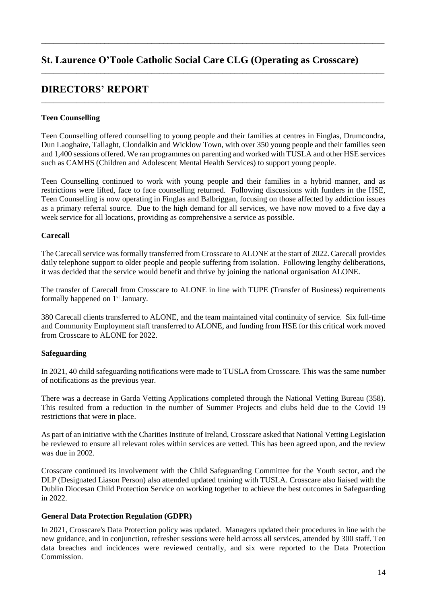\_\_\_\_\_\_\_\_\_\_\_\_\_\_\_\_\_\_\_\_\_\_\_\_\_\_\_\_\_\_\_\_\_\_\_\_\_\_\_\_\_\_\_\_\_\_\_\_\_\_\_\_\_\_\_\_\_\_\_\_\_\_\_\_\_\_\_\_\_\_\_\_\_\_\_\_\_\_\_\_\_\_\_\_\_\_\_

\_\_\_\_\_\_\_\_\_\_\_\_\_\_\_\_\_\_\_\_\_\_\_\_\_\_\_\_\_\_\_\_\_\_\_\_\_\_\_\_\_\_\_\_\_\_\_\_\_\_\_\_\_\_\_\_\_\_\_\_\_\_\_\_\_\_\_\_\_\_\_\_\_\_\_\_\_\_\_\_\_\_\_\_\_\_\_

\_\_\_\_\_\_\_\_\_\_\_\_\_\_\_\_\_\_\_\_\_\_\_\_\_\_\_\_\_\_\_\_\_\_\_\_\_\_\_\_\_\_\_\_\_\_\_\_\_\_\_\_\_\_\_\_\_\_\_\_\_\_\_\_\_\_\_\_\_\_\_\_\_\_\_\_\_\_\_\_\_\_\_\_\_\_\_

# **DIRECTORS' REPORT**

# **Teen Counselling**

Teen Counselling offered counselling to young people and their families at centres in Finglas, Drumcondra, Dun Laoghaire, Tallaght, Clondalkin and Wicklow Town, with over 350 young people and their families seen and 1,400 sessions offered. We ran programmes on parenting and worked with TUSLA and other HSE services such as CAMHS (Children and Adolescent Mental Health Services) to support young people.

Teen Counselling continued to work with young people and their families in a hybrid manner, and as restrictions were lifted, face to face counselling returned. Following discussions with funders in the HSE, Teen Counselling is now operating in Finglas and Balbriggan, focusing on those affected by addiction issues as a primary referral source. Due to the high demand for all services, we have now moved to a five day a week service for all locations, providing as comprehensive a service as possible.

### **Carecall**

The Carecall service was formally transferred from Crosscare to ALONE at the start of 2022. Carecall provides daily telephone support to older people and people suffering from isolation. Following lengthy deliberations, it was decided that the service would benefit and thrive by joining the national organisation ALONE.

The transfer of Carecall from Crosscare to ALONE in line with TUPE (Transfer of Business) requirements formally happened on 1<sup>st</sup> January.

380 Carecall clients transferred to ALONE, and the team maintained vital continuity of service. Six full-time and Community Employment staff transferred to ALONE, and funding from HSE for this critical work moved from Crosscare to ALONE for 2022.

# **Safeguarding**

In 2021, 40 child safeguarding notifications were made to TUSLA from Crosscare. This was the same number of notifications as the previous year.

There was a decrease in Garda Vetting Applications completed through the National Vetting Bureau (358). This resulted from a reduction in the number of Summer Projects and clubs held due to the Covid 19 restrictions that were in place.

As part of an initiative with the Charities Institute of Ireland, Crosscare asked that National Vetting Legislation be reviewed to ensure all relevant roles within services are vetted. This has been agreed upon, and the review was due in 2002.

Crosscare continued its involvement with the Child Safeguarding Committee for the Youth sector, and the DLP (Designated Liason Person) also attended updated training with TUSLA. Crosscare also liaised with the Dublin Diocesan Child Protection Service on working together to achieve the best outcomes in Safeguarding in 2022.

### **General Data Protection Regulation (GDPR)**

In 2021, Crosscare's Data Protection policy was updated. Managers updated their procedures in line with the new guidance, and in conjunction, refresher sessions were held across all services, attended by 300 staff. Ten data breaches and incidences were reviewed centrally, and six were reported to the Data Protection **Commission**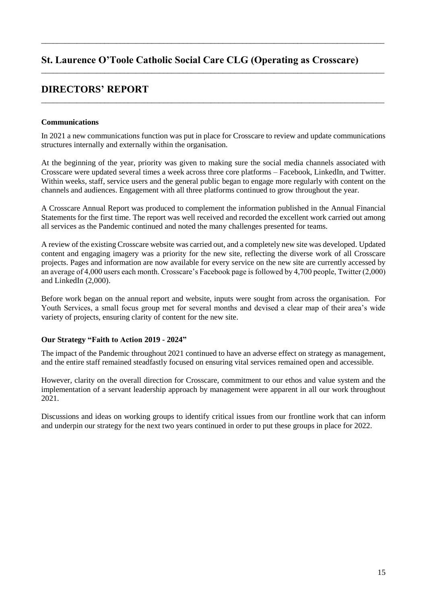\_\_\_\_\_\_\_\_\_\_\_\_\_\_\_\_\_\_\_\_\_\_\_\_\_\_\_\_\_\_\_\_\_\_\_\_\_\_\_\_\_\_\_\_\_\_\_\_\_\_\_\_\_\_\_\_\_\_\_\_\_\_\_\_\_\_\_\_\_\_\_\_\_\_\_\_\_\_\_\_\_\_\_\_\_\_\_

\_\_\_\_\_\_\_\_\_\_\_\_\_\_\_\_\_\_\_\_\_\_\_\_\_\_\_\_\_\_\_\_\_\_\_\_\_\_\_\_\_\_\_\_\_\_\_\_\_\_\_\_\_\_\_\_\_\_\_\_\_\_\_\_\_\_\_\_\_\_\_\_\_\_\_\_\_\_\_\_\_\_\_\_\_\_\_

\_\_\_\_\_\_\_\_\_\_\_\_\_\_\_\_\_\_\_\_\_\_\_\_\_\_\_\_\_\_\_\_\_\_\_\_\_\_\_\_\_\_\_\_\_\_\_\_\_\_\_\_\_\_\_\_\_\_\_\_\_\_\_\_\_\_\_\_\_\_\_\_\_\_\_\_\_\_\_\_\_\_\_\_\_\_\_

# **DIRECTORS' REPORT**

## **Communications**

In 2021 a new communications function was put in place for Crosscare to review and update communications structures internally and externally within the organisation.

At the beginning of the year, priority was given to making sure the social media channels associated with Crosscare were updated several times a week across three core platforms - Facebook, LinkedIn, and Twitter. Within weeks, staff, service users and the general public began to engage more regularly with content on the channels and audiences. Engagement with all three platforms continued to grow throughout the year.

A Crosscare Annual Report was produced to complement the information published in the Annual Financial Statements for the first time. The report was well received and recorded the excellent work carried out among all services as the Pandemic continued and noted the many challenges presented for teams.

A review of the existing Crosscare website was carried out, and a completely new site was developed. Updated content and engaging imagery was a priority for the new site, reflecting the diverse work of all Crosscare projects. Pages and information are now available for every service on the new site are currently accessed by an average of 4,000 users each month. Crosscare's Facebook page is followed by 4,700 people. Twitter  $(2,000)$ and LinkedIn (2,000).

Before work began on the annual report and website, inputs were sought from across the organisation. For Youth Services, a small focus group met for several months and devised a clear map of their area's wide variety of projects, ensuring clarity of content for the new site.

### **Our Strategy "Faith to Action 2019 - 2024"**

The impact of the Pandemic throughout 2021 continued to have an adverse effect on strategy as management, and the entire staff remained steadfastly focused on ensuring vital services remained open and accessible.

However, clarity on the overall direction for Crosscare, commitment to our ethos and value system and the implementation of a servant leadership approach by management were apparent in all our work throughout 2021.

Discussions and ideas on working groups to identify critical issues from our frontline work that can inform and underpin our strategy for the next two years continued in order to put these groups in place for 2022.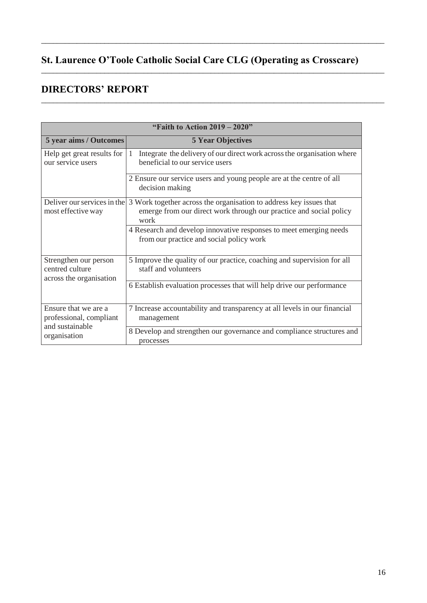\_\_\_\_\_\_\_\_\_\_\_\_\_\_\_\_\_\_\_\_\_\_\_\_\_\_\_\_\_\_\_\_\_\_\_\_\_\_\_\_\_\_\_\_\_\_\_\_\_\_\_\_\_\_\_\_\_\_\_\_\_\_\_\_\_\_\_\_\_\_\_\_\_\_\_\_\_\_\_\_\_\_\_\_\_\_\_

\_\_\_\_\_\_\_\_\_\_\_\_\_\_\_\_\_\_\_\_\_\_\_\_\_\_\_\_\_\_\_\_\_\_\_\_\_\_\_\_\_\_\_\_\_\_\_\_\_\_\_\_\_\_\_\_\_\_\_\_\_\_\_\_\_\_\_\_\_\_\_\_\_\_\_\_\_\_\_\_\_\_\_\_\_\_\_

\_\_\_\_\_\_\_\_\_\_\_\_\_\_\_\_\_\_\_\_\_\_\_\_\_\_\_\_\_\_\_\_\_\_\_\_\_\_\_\_\_\_\_\_\_\_\_\_\_\_\_\_\_\_\_\_\_\_\_\_\_\_\_\_\_\_\_\_\_\_\_\_\_\_\_\_\_\_\_\_\_\_\_\_\_\_\_

# **DIRECTORS' REPORT**

| "Faith to Action $2019 - 2020$ "                                    |                                                                                                                                                  |  |  |  |
|---------------------------------------------------------------------|--------------------------------------------------------------------------------------------------------------------------------------------------|--|--|--|
| 5 year aims / Outcomes                                              | <b>5 Year Objectives</b>                                                                                                                         |  |  |  |
| Help get great results for<br>our service users                     | Integrate the delivery of our direct work across the organisation where<br>-1<br>beneficial to our service users                                 |  |  |  |
|                                                                     | 2 Ensure our service users and young people are at the centre of all<br>decision making                                                          |  |  |  |
| Deliver our services in the<br>most effective way                   | 3 Work together across the organisation to address key issues that<br>emerge from our direct work through our practice and social policy<br>work |  |  |  |
|                                                                     | 4 Research and develop innovative responses to meet emerging needs<br>from our practice and social policy work                                   |  |  |  |
| Strengthen our person<br>centred culture<br>across the organisation | 5 Improve the quality of our practice, coaching and supervision for all<br>staff and volunteers                                                  |  |  |  |
|                                                                     | 6 Establish evaluation processes that will help drive our performance                                                                            |  |  |  |
| Ensure that we are a<br>professional, compliant<br>and sustainable  | 7 Increase accountability and transparency at all levels in our financial<br>management                                                          |  |  |  |
| organisation                                                        | 8 Develop and strengthen our governance and compliance structures and<br>processes                                                               |  |  |  |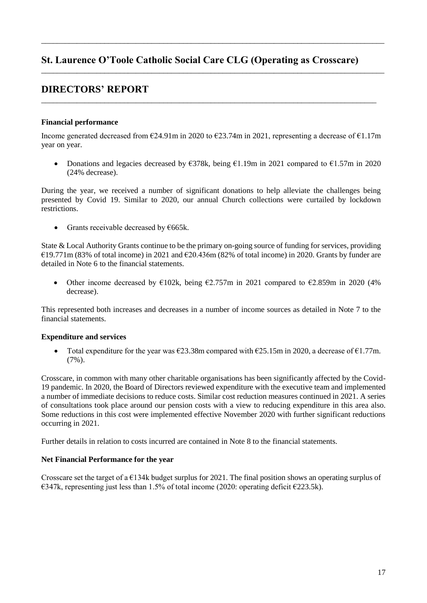\_\_\_\_\_\_\_\_\_\_\_\_\_\_\_\_\_\_\_\_\_\_\_\_\_\_\_\_\_\_\_\_\_\_\_\_\_\_\_\_\_\_\_\_\_\_\_\_\_\_\_\_\_\_\_\_\_\_\_\_\_\_\_\_\_\_\_\_\_\_\_\_\_\_\_\_\_\_\_\_\_\_\_\_\_\_\_

\_\_\_\_\_\_\_\_\_\_\_\_\_\_\_\_\_\_\_\_\_\_\_\_\_\_\_\_\_\_\_\_\_\_\_\_\_\_\_\_\_\_\_\_\_\_\_\_\_\_\_\_\_\_\_\_\_\_\_\_\_\_\_\_\_\_\_\_\_\_\_\_\_\_\_\_\_\_\_\_\_\_\_\_\_\_\_

\_\_\_\_\_\_\_\_\_\_\_\_\_\_\_\_\_\_\_\_\_\_\_\_\_\_\_\_\_\_\_\_\_\_\_\_\_\_\_\_\_\_\_\_\_\_\_\_\_\_\_\_\_\_\_\_\_\_\_\_\_\_\_\_\_\_\_\_\_\_\_\_\_\_\_\_\_\_\_\_\_\_\_\_\_

# **DIRECTORS' REPORT**

## **Financial performance**

Income generated decreased from  $\epsilon$ 24.91m in 2020 to  $\epsilon$ 23.74m in 2021, representing a decrease of  $\epsilon$ 1.17m year on year.

• Donations and legacies decreased by  $\epsilon$ 378k, being  $\epsilon$ 1.19m in 2021 compared to  $\epsilon$ 1.57m in 2020 (24% decrease).

During the year, we received a number of significant donations to help alleviate the challenges being presented by Covid 19. Similar to 2020, our annual Church collections were curtailed by lockdown restrictions.

• Grants receivable decreased by  $\epsilon$ 665k.

State & Local Authority Grants continue to be the primary on-going source of funding for services, providing  $\text{\textsterling}19.771\text{m}$  (83% of total income) in 2021 and  $\text{\textsterling}20.436\text{m}$  (82% of total income) in 2020. Grants by funder are detailed in Note 6 to the financial statements.

• Other income decreased by  $\epsilon 102k$ , being  $\epsilon 2.757m$  in 2021 compared to  $\epsilon 2.859m$  in 2020 (4% decrease).

This represented both increases and decreases in a number of income sources as detailed in Note 7 to the financial statements.

### **Expenditure and services**

• Total expenditure for the year was  $\epsilon$ 23.38m compared with  $\epsilon$ 25.15m in 2020, a decrease of  $\epsilon$ 1.77m. (7%).

Crosscare, in common with many other charitable organisations has been significantly affected by the Covid-19 pandemic. In 2020, the Board of Directors reviewed expenditure with the executive team and implemented a number of immediate decisions to reduce costs. Similar cost reduction measures continued in 2021. A series of consultations took place around our pension costs with a view to reducing expenditure in this area also. Some reductions in this cost were implemented effective November 2020 with further significant reductions occurring in 2021.

Further details in relation to costs incurred are contained in Note 8 to the financial statements.

### **Net Financial Performance for the year**

Crosscare set the target of a  $E134k$  budget surplus for 2021. The final position shows an operating surplus of  $\epsilon$ 347k, representing just less than 1.5% of total income (2020: operating deficit  $\epsilon$ 223.5k).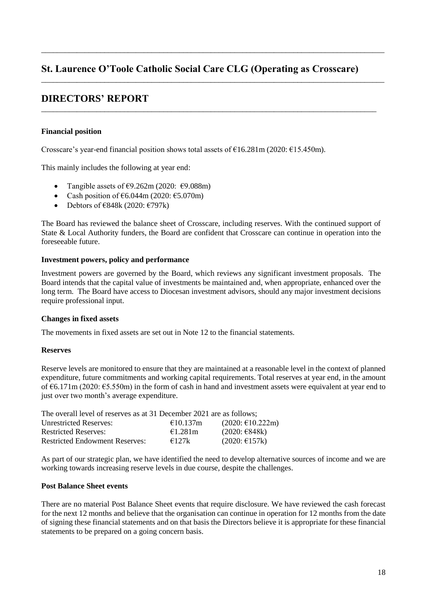\_\_\_\_\_\_\_\_\_\_\_\_\_\_\_\_\_\_\_\_\_\_\_\_\_\_\_\_\_\_\_\_\_\_\_\_\_\_\_\_\_\_\_\_\_\_\_\_\_\_\_\_\_\_\_\_\_\_\_\_\_\_\_\_\_\_\_\_\_\_\_\_\_\_\_\_\_\_\_\_\_\_\_\_\_\_\_

\_\_\_\_\_\_\_\_\_\_\_\_\_\_\_\_\_\_\_\_\_\_\_\_\_\_\_\_\_\_\_\_\_\_\_\_\_\_\_\_\_\_\_\_\_\_\_\_\_\_\_\_\_\_\_\_\_\_\_\_\_\_\_\_\_\_\_\_\_\_\_\_\_\_\_\_\_\_\_\_\_\_\_\_\_\_\_

\_\_\_\_\_\_\_\_\_\_\_\_\_\_\_\_\_\_\_\_\_\_\_\_\_\_\_\_\_\_\_\_\_\_\_\_\_\_\_\_\_\_\_\_\_\_\_\_\_\_\_\_\_\_\_\_\_\_\_\_\_\_\_\_\_\_\_\_\_\_\_\_\_\_\_\_\_\_\_\_\_\_\_\_\_

# **DIRECTORS' REPORT**

## **Financial position**

Crosscare's year-end financial position shows total assets of  $\text{\textsterling}16.281\text{m}$  (2020:  $\text{\textsterling}15.450\text{m}$ ).

This mainly includes the following at year end:

- Tangible assets of  $\epsilon$ 9.262m (2020:  $\epsilon$ 9.088m)
- Cash position of  $\text{\textsterling}6.044\text{m}$  (2020:  $\text{\textsterling}5.070\text{m}$ )
- Debtors of  $\epsilon$ 848k (2020:  $\epsilon$ 797k)

The Board has reviewed the balance sheet of Crosscare, including reserves. With the continued support of State & Local Authority funders, the Board are confident that Crosscare can continue in operation into the foreseeable future.

### **Investment powers, policy and performance**

Investment powers are governed by the Board, which reviews any significant investment proposals. The Board intends that the capital value of investments be maintained and, when appropriate, enhanced over the long term. The Board have access to Diocesan investment advisors, should any major investment decisions require professional input.

### **Changes in fixed assets**

The movements in fixed assets are set out in Note 12 to the financial statements.

### **Reserves**

Reserve levels are monitored to ensure that they are maintained at a reasonable level in the context of planned expenditure, future commitments and working capital requirements. Total reserves at year end, in the amount of  $\epsilon$ 6.171m (2020:  $\epsilon$ 5.550m) in the form of cash in hand and investment assets were equivalent at year end to just over two month's average expenditure.

| The overall level of reserves as at 31 December 2021 are as follows; |                   |                           |
|----------------------------------------------------------------------|-------------------|---------------------------|
| <b>Unrestricted Reserves:</b>                                        | €10.137m          | $(2020; \text{€}10.222m)$ |
| <b>Restricted Reserves:</b>                                          | $\epsilon$ 1.281m | $(2020: \text{€}848k)$    |
| <b>Restricted Endowment Reserves:</b>                                | €127k             | $(2020; \text{£}157k)$    |

As part of our strategic plan, we have identified the need to develop alternative sources of income and we are working towards increasing reserve levels in due course, despite the challenges.

## **Post Balance Sheet events**

There are no material Post Balance Sheet events that require disclosure. We have reviewed the cash forecast for the next 12 months and believe that the organisation can continue in operation for 12 months from the date of signing these financial statements and on that basis the Directors believe it is appropriate for these financial statements to be prepared on a going concern basis.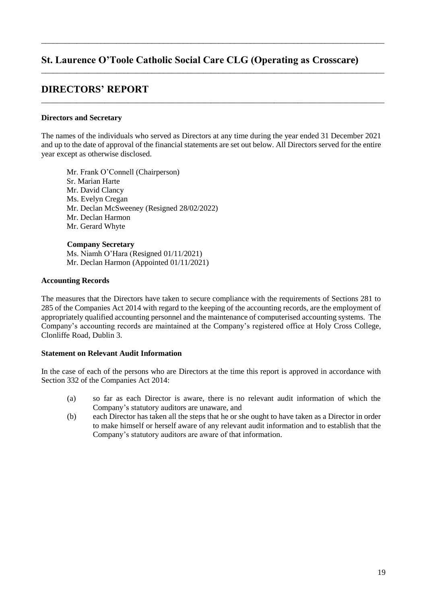\_\_\_\_\_\_\_\_\_\_\_\_\_\_\_\_\_\_\_\_\_\_\_\_\_\_\_\_\_\_\_\_\_\_\_\_\_\_\_\_\_\_\_\_\_\_\_\_\_\_\_\_\_\_\_\_\_\_\_\_\_\_\_\_\_\_\_\_\_\_\_\_\_\_\_\_\_\_\_\_\_\_\_\_\_\_\_

\_\_\_\_\_\_\_\_\_\_\_\_\_\_\_\_\_\_\_\_\_\_\_\_\_\_\_\_\_\_\_\_\_\_\_\_\_\_\_\_\_\_\_\_\_\_\_\_\_\_\_\_\_\_\_\_\_\_\_\_\_\_\_\_\_\_\_\_\_\_\_\_\_\_\_\_\_\_\_\_\_\_\_\_\_\_\_

\_\_\_\_\_\_\_\_\_\_\_\_\_\_\_\_\_\_\_\_\_\_\_\_\_\_\_\_\_\_\_\_\_\_\_\_\_\_\_\_\_\_\_\_\_\_\_\_\_\_\_\_\_\_\_\_\_\_\_\_\_\_\_\_\_\_\_\_\_\_\_\_\_\_\_\_\_\_\_\_\_\_\_\_\_\_\_

# **DIRECTORS' REPORT**

### **Directors and Secretary**

The names of the individuals who served as Directors at any time during the year ended 31 December 2021 and up to the date of approval of the financial statements are set out below. All Directors served for the entire year except as otherwise disclosed.

Mr. Frank O'Connell (Chairperson) Sr. Marian Harte Mr. David Clancy Ms. Evelyn Cregan Mr. Declan McSweeney (Resigned 28/02/2022) Mr. Declan Harmon Mr. Gerard Whyte

**Company Secretary**  Ms. Niamh O'Hara (Resigned  $01/11/2021$ ) Mr. Declan Harmon (Appointed 01/11/2021)

### **Accounting Records**

The measures that the Directors have taken to secure compliance with the requirements of Sections 281 to 285 of the Companies Act 2014 with regard to the keeping of the accounting records, are the employment of appropriately qualified accounting personnel and the maintenance of computerised accounting systems. The Company's accounting records are maintained at the Company's registered office at Holy Cross College, Clonliffe Road, Dublin 3.

## **Statement on Relevant Audit Information**

In the case of each of the persons who are Directors at the time this report is approved in accordance with Section 332 of the Companies Act 2014:

- (a) so far as each Director is aware, there is no relevant audit information of which the Company's statutory auditors are unaware, and
- (b) each Director has taken all the steps that he or she ought to have taken as a Director in order to make himself or herself aware of any relevant audit information and to establish that the Company's statutory auditors are aware of that information.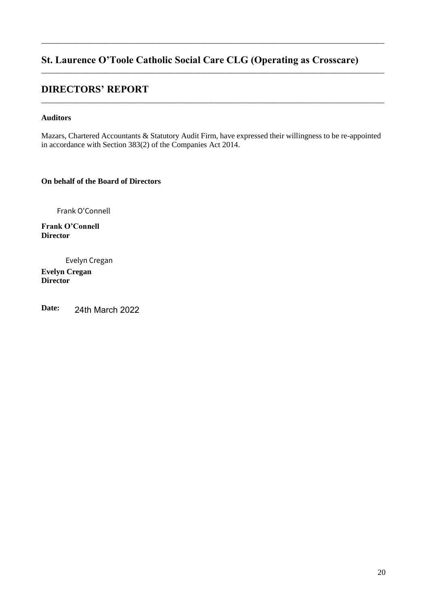\_\_\_\_\_\_\_\_\_\_\_\_\_\_\_\_\_\_\_\_\_\_\_\_\_\_\_\_\_\_\_\_\_\_\_\_\_\_\_\_\_\_\_\_\_\_\_\_\_\_\_\_\_\_\_\_\_\_\_\_\_\_\_\_\_\_\_\_\_\_\_\_\_\_\_\_\_\_\_\_\_\_\_\_\_\_\_

\_\_\_\_\_\_\_\_\_\_\_\_\_\_\_\_\_\_\_\_\_\_\_\_\_\_\_\_\_\_\_\_\_\_\_\_\_\_\_\_\_\_\_\_\_\_\_\_\_\_\_\_\_\_\_\_\_\_\_\_\_\_\_\_\_\_\_\_\_\_\_\_\_\_\_\_\_\_\_\_\_\_\_\_\_\_\_

\_\_\_\_\_\_\_\_\_\_\_\_\_\_\_\_\_\_\_\_\_\_\_\_\_\_\_\_\_\_\_\_\_\_\_\_\_\_\_\_\_\_\_\_\_\_\_\_\_\_\_\_\_\_\_\_\_\_\_\_\_\_\_\_\_\_\_\_\_\_\_\_\_\_\_\_\_\_\_\_\_\_\_\_\_\_\_

# **DIRECTORS' REPORT**

## **Auditors**

Mazars, Chartered Accountants & Statutory Audit Firm, have expressed their willingness to be re-appointed in accordance with Section 383(2) of the Companies Act 2014.

**On behalf of the Board of Directors** 

Frank O'Connell

Frank O'Connell **Director** 

Evelyn Cregan

**Evelyn Cregan Director** 

**Date:** 24th March 2022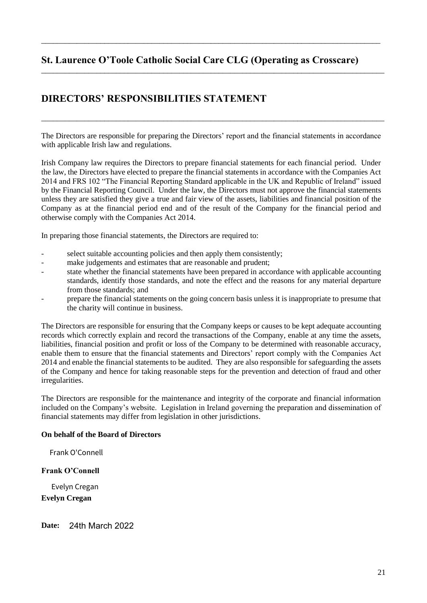\_\_\_\_\_\_\_\_\_\_\_\_\_\_\_\_\_\_\_\_\_\_\_\_\_\_\_\_\_\_\_\_\_\_\_\_\_\_\_\_\_\_\_\_\_\_\_\_\_\_\_\_\_\_\_\_\_\_\_\_\_\_\_\_\_\_\_\_\_\_\_\_\_\_\_\_\_\_\_\_\_\_\_\_\_\_

\_\_\_\_\_\_\_\_\_\_\_\_\_\_\_\_\_\_\_\_\_\_\_\_\_\_\_\_\_\_\_\_\_\_\_\_\_\_\_\_\_\_\_\_\_\_\_\_\_\_\_\_\_\_\_\_\_\_\_\_\_\_\_\_\_\_\_\_\_\_\_\_\_\_\_\_\_\_\_\_\_\_\_\_\_\_\_

# **DIRECTORS' RESPONSIBILITIES STATEMENT**

The Directors are responsible for preparing the Directors' report and the financial statements in accordance with applicable Irish law and regulations.

\_\_\_\_\_\_\_\_\_\_\_\_\_\_\_\_\_\_\_\_\_\_\_\_\_\_\_\_\_\_\_\_\_\_\_\_\_\_\_\_\_\_\_\_\_\_\_\_\_\_\_\_\_\_\_\_\_\_\_\_\_\_\_\_\_\_\_\_\_\_\_\_\_\_\_\_\_\_\_\_\_\_\_\_\_\_\_

Irish Company law requires the Directors to prepare financial statements for each financial period. Under the law, the Directors have elected to prepare the financial statements in accordance with the Companies Act 2014 and FRS 102 "The Financial Reporting Standard applicable in the UK and Republic of Ireland" issued by the Financial Reporting Council. Under the law, the Directors must not approve the financial statements unless they are satisfied they give a true and fair view of the assets, liabilities and financial position of the Company as at the financial period end and of the result of the Company for the financial period and otherwise comply with the Companies Act 2014.

In preparing those financial statements, the Directors are required to:

- select suitable accounting policies and then apply them consistently;
- make judgements and estimates that are reasonable and prudent;
- state whether the financial statements have been prepared in accordance with applicable accounting standards, identify those standards, and note the effect and the reasons for any material departure from those standards; and
- prepare the financial statements on the going concern basis unless it is inappropriate to presume that the charity will continue in business.

The Directors are responsible for ensuring that the Company keeps or causes to be kept adequate accounting records which correctly explain and record the transactions of the Company, enable at any time the assets, liabilities, financial position and profit or loss of the Company to be determined with reasonable accuracy, enable them to ensure that the financial statements and Directors' report comply with the Companies Act 2014 and enable the financial statements to be audited. They are also responsible for safeguarding the assets of the Company and hence for taking reasonable steps for the prevention and detection of fraud and other irregularities.

The Directors are responsible for the maintenance and integrity of the corporate and financial information included on the Company's website. Legislation in Ireland governing the preparation and dissemination of financial statements may differ from legislation in other jurisdictions.

# **On behalf of the Board of Directors**

Frank O'Connell

# Frank O'Connell

Evelyn Cregan

**Evelyn Cregan** 

**Date:** 24th March 2022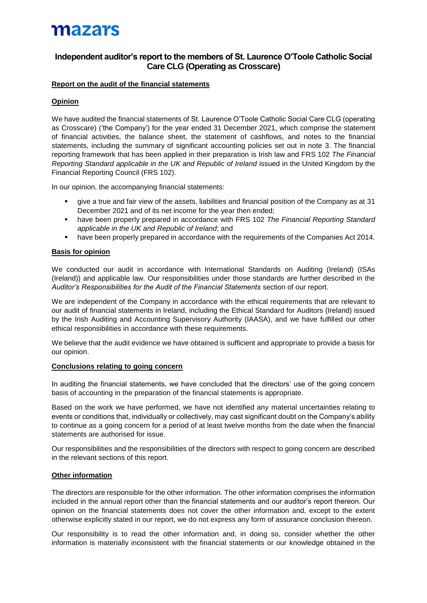# mazars

# **Independent auditor's report to the members of St. Laurence O'Toole Catholic Social Care CLG (Operating as Crosscare)**

## **Report on the audit of the financial statements**

## **Opinion**

We have audited the financial statements of St. Laurence O'Toole Catholic Social Care CLG (operating as Crosscare) ('the Company') for the year ended 31 December 2021, which comprise the statement of financial activities, the balance sheet, the statement of cashflows, and notes to the financial statements, including the summary of significant accounting policies set out in note 3. The financial reporting framework that has been applied in their preparation is Irish law and FRS 102 *The Financial Reporting Standard applicable in the UK and Republic of Ireland* issued in the United Kingdom by the Financial Reporting Council (FRS 102).

In our opinion, the accompanying financial statements:

- give a true and fair view of the assets, liabilities and financial position of the Company as at 31 December 2021 and of its net income for the year then ended;
- have been properly prepared in accordance with FRS 102 *The Financial Reporting Standard applicable in the UK and Republic of Ireland*; and
- have been properly prepared in accordance with the requirements of the Companies Act 2014.

#### **Basis for opinion**

We conducted our audit in accordance with International Standards on Auditing (Ireland) (ISAs (Ireland)) and applicable law. Our responsibilities under those standards are further described in the *Auditor's Responsibilities for the Audit of the Financial Statements* section of our report.

We are independent of the Company in accordance with the ethical requirements that are relevant to our audit of financial statements in Ireland, including the Ethical Standard for Auditors (Ireland) issued by the Irish Auditing and Accounting Supervisory Authority (IAASA), and we have fulfilled our other ethical responsibilities in accordance with these requirements.

We believe that the audit evidence we have obtained is sufficient and appropriate to provide a basis for our opinion.

### **Conclusions relating to going concern**

In auditing the financial statements, we have concluded that the directors' use of the going concern basis of accounting in the preparation of the financial statements is appropriate.

Based on the work we have performed, we have not identified any material uncertainties relating to events or conditions that, individually or collectively, may cast significant doubt on the Company's ability to continue as a going concern for a period of at least twelve months from the date when the financial statements are authorised for issue.

Our responsibilities and the responsibilities of the directors with respect to going concern are described in the relevant sections of this report.

### **Other information**

The directors are responsible for the other information. The other information comprises the information included in the annual report other than the financial statements and our auditor's report thereon. Our opinion on the financial statements does not cover the other information and, except to the extent otherwise explicitly stated in our report, we do not express any form of assurance conclusion thereon.

Our responsibility is to read the other information and, in doing so, consider whether the other information is materially inconsistent with the financial statements or our knowledge obtained in the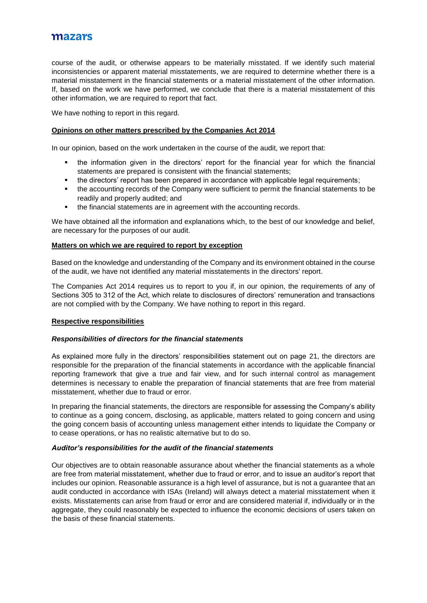# mazars

course of the audit, or otherwise appears to be materially misstated. If we identify such material inconsistencies or apparent material misstatements, we are required to determine whether there is a material misstatement in the financial statements or a material misstatement of the other information. If, based on the work we have performed, we conclude that there is a material misstatement of this other information, we are required to report that fact.

We have nothing to report in this regard.

#### **Opinions on other matters prescribed by the Companies Act 2014**

In our opinion, based on the work undertaken in the course of the audit, we report that:

- the information given in the directors' report for the financial year for which the financial statements are prepared is consistent with the financial statements;
- the directors' report has been prepared in accordance with applicable legal requirements;
- the accounting records of the Company were sufficient to permit the financial statements to be readily and properly audited; and
- the financial statements are in agreement with the accounting records.

We have obtained all the information and explanations which, to the best of our knowledge and belief, are necessary for the purposes of our audit.

#### **Matters on which we are required to report by exception**

Based on the knowledge and understanding of the Company and its environment obtained in the course of the audit, we have not identified any material misstatements in the directors' report.

The Companies Act 2014 requires us to report to you if, in our opinion, the requirements of any of Sections 305 to 312 of the Act, which relate to disclosures of directors' remuneration and transactions are not complied with by the Company. We have nothing to report in this regard.

#### **Respective responsibilities**

#### *Responsibilities of directors for the financial statements*

As explained more fully in the directors' responsibilities statement out on page 21, the directors are responsible for the preparation of the financial statements in accordance with the applicable financial reporting framework that give a true and fair view, and for such internal control as management determines is necessary to enable the preparation of financial statements that are free from material misstatement, whether due to fraud or error.

In preparing the financial statements, the directors are responsible for assessing the Company's ability to continue as a going concern, disclosing, as applicable, matters related to going concern and using the going concern basis of accounting unless management either intends to liquidate the Company or to cease operations, or has no realistic alternative but to do so.

#### *Auditor's responsibilities for the audit of the financial statements*

Our objectives are to obtain reasonable assurance about whether the financial statements as a whole are free from material misstatement, whether due to fraud or error, and to issue an auditor's report that includes our opinion. Reasonable assurance is a high level of assurance, but is not a guarantee that an audit conducted in accordance with ISAs (Ireland) will always detect a material misstatement when it exists. Misstatements can arise from fraud or error and are considered material if, individually or in the aggregate, they could reasonably be expected to influence the economic decisions of users taken on the basis of these financial statements.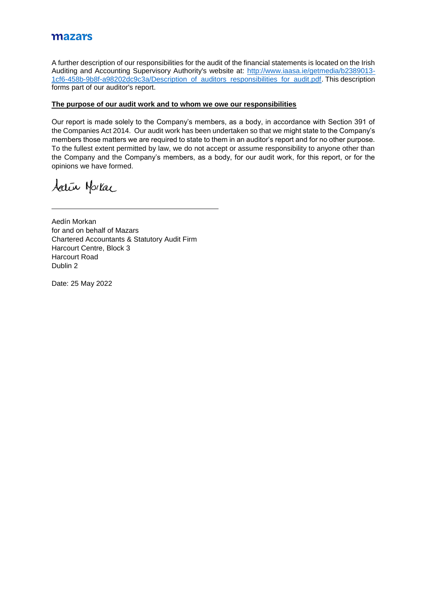# mazars

A further description of our responsibilities for the audit of the financial statements is located on the Irish Auditing and Accounting Supervisory Authority's website at: [http://www.iaasa.ie/getmedia/b2389013-](http://www.iaasa.ie/getmedia/b2389013-1cf6-458b-9b8f-a98202dc9c3a/Description_of_auditors_responsibilities_for_audit.pdf) [1cf6-458b-9b8f-a98202dc9c3a/Description\\_of\\_auditors\\_responsibilities\\_for\\_audit.pdf.](http://www.iaasa.ie/getmedia/b2389013-1cf6-458b-9b8f-a98202dc9c3a/Description_of_auditors_responsibilities_for_audit.pdf) This description forms part of our auditor's report.

### **The purpose of our audit work and to whom we owe our responsibilities**

Our report is made solely to the Company's members, as a body, in accordance with Section 391 of the Companies Act 2014. Our audit work has been undertaken so that we might state to the Company's members those matters we are required to state to them in an auditor's report and for no other purpose. To the fullest extent permitted by law, we do not accept or assume responsibility to anyone other than the Company and the Company's members, as a body, for our audit work, for this report, or for the opinions we have formed.

Activ Horkac

Aedín Morkan for and on behalf of Mazars Chartered Accountants & Statutory Audit Firm Harcourt Centre, Block 3 Harcourt Road Dublin 2

Date: 25 May 2022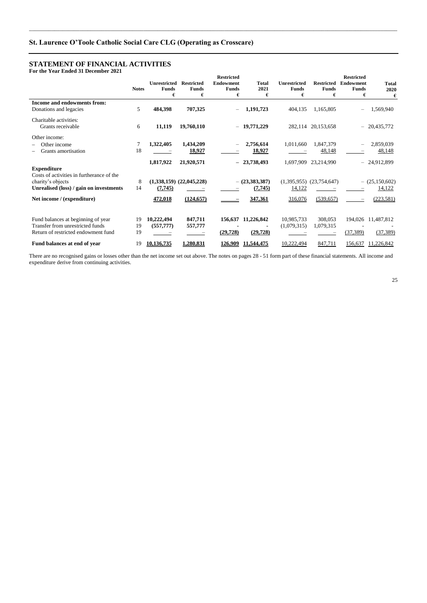#### **STATEMENT OF FINANCIAL ACTIVITIES For the Year Ended 31 December 2021**

**Notes Unrestricted Restricted Funds**  € **Funds**  € **Restricted Endowment Funds**  € **Total 2021**  € **Unrestricted Funds**   $\epsilon$ **Restricted Endowment Funds**  € **Restricted Funds**   $\epsilon$ **Total 2020**   $\epsilon$ **Income and endowments from:** Donations and legacies **5 484,398 707,325 1,191,723** 404,135 1,165,805 **1,1569,940** Charitable activities: Grants receivable 6 **11,119 19,760,110 19,771,229** 282,114 20,153,658 20,435,772 Other income: \$ Other income 7 **1,322,405 1,434,209 2,756,614** 1,011,660 1,847,379 2,859,039 48,148 **Grants amortisation** 18 **18,927 18,927 18,927 18,927 18,148 18,148 1,817,922 21,920,571** ~ **23,738,493** 1,697,909 23,214,990 24,912,899 **Expenditure** Costs of activities in furtherance of the charity's objects 8 (1,338,159) (22,045,228)  $-$  (23,383,387) (1,395,955) (23,754,647)  $-$  (25,150,602) **Unrealised (loss) / gain on investments** 14 **(7,745)** <del>\_\_\_\_\_\_</del> <del>\_\_\_\_\_\_</del> <del>(7,745)</del> 14,122 \_\_\_\_\_\_\_ 14,122 **Net income / (expenditure) 472,018 (124,657)** \_\_\_\_\_\_\_ **347,361**  $\frac{316,076}{2}$  (539,657) \_\_\_\_\_ (223,581) Fund balances at beginning of year 19 **10,222,494 847,711 156,637 11,226,842** 10,985,733 308,053 194,026 11,487,812 Transfer from unrestricted funds 19 **(557,777)** 557,777 - **11,079,315** 1,079,315 - **11,079,315** - **11,079,315** - **11,079,315** - **11,079,315** - **11,079,315** - **129,728** - **129,728** - <u>129,728</u> - <u>129,728</u> - <u>129,7389</u> - <u>12</u> Return of restricted endowment fund 19 **Fund balances at end of year** 19 **10,136,735 1,280,831 126,909 11,544,475** 10,222,494 847,711 156,637 11,226,842

\_\_\_\_\_\_\_\_\_\_\_\_\_\_\_\_\_\_\_\_\_\_\_\_\_\_\_\_\_\_\_\_\_\_\_\_\_\_\_\_\_\_\_\_\_\_\_\_\_\_\_\_\_\_\_\_\_\_\_\_\_\_\_\_\_\_\_\_\_\_\_\_\_\_\_\_\_\_\_\_\_\_\_\_\_\_\_\_\_\_\_\_\_\_\_\_\_\_\_\_\_\_\_\_\_\_\_\_\_\_\_\_\_\_\_\_\_\_\_\_\_\_\_\_\_\_\_\_\_\_\_\_

There are no recognised gains or losses other than the net income set out above. The notes on pages 28 - 51 form part of these financial statements. All income and expenditure derive from continuing activities.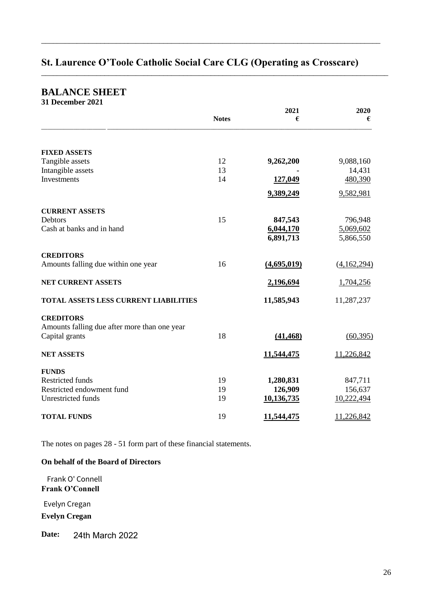\_\_\_\_\_\_\_\_\_\_\_\_\_\_\_\_\_\_\_\_\_\_\_\_\_\_\_\_\_\_\_\_\_\_\_\_\_\_\_\_\_\_\_\_\_\_\_\_\_\_\_\_\_\_\_\_\_\_\_\_\_\_\_\_\_\_\_\_\_\_\_\_\_\_\_\_\_\_\_\_\_\_\_\_\_\_

\_\_\_\_\_\_\_\_\_\_\_\_\_\_\_\_\_\_\_\_\_\_\_\_\_\_\_\_\_\_\_\_\_\_\_\_\_\_\_\_\_\_\_\_\_\_\_\_\_\_\_\_\_\_\_\_\_\_\_\_\_\_\_\_\_\_\_\_\_\_\_\_\_\_\_\_\_\_\_\_\_\_\_\_\_\_\_\_

# **BALANCE SHEET**

| 31 December 2021 |  |
|------------------|--|
|                  |  |

|                                              |              | 2021        | 2020        |
|----------------------------------------------|--------------|-------------|-------------|
|                                              | <b>Notes</b> | €           | €           |
|                                              |              |             |             |
| <b>FIXED ASSETS</b>                          |              |             |             |
| Tangible assets                              | 12           | 9,262,200   | 9,088,160   |
| Intangible assets                            | 13           |             | 14,431      |
| Investments                                  | 14           | 127,049     | 480,390     |
|                                              |              | 9,389,249   | 9,582,981   |
| <b>CURRENT ASSETS</b>                        |              |             |             |
| <b>Debtors</b>                               | 15           | 847,543     | 796,948     |
| Cash at banks and in hand                    |              | 6,044,170   | 5,069,602   |
|                                              |              | 6,891,713   | 5,866,550   |
| <b>CREDITORS</b>                             |              |             |             |
| Amounts falling due within one year          | 16           | (4,695,019) | (4,162,294) |
| <b>NET CURRENT ASSETS</b>                    |              | 2,196,694   | 1,704,256   |
| <b>TOTAL ASSETS LESS CURRENT LIABILITIES</b> |              | 11,585,943  | 11,287,237  |
| <b>CREDITORS</b>                             |              |             |             |
| Amounts falling due after more than one year |              |             |             |
| Capital grants                               | 18           | (41, 468)   | (60, 395)   |
| <b>NET ASSETS</b>                            |              | 11,544,475  | 11,226,842  |
| <b>FUNDS</b>                                 |              |             |             |
| <b>Restricted funds</b>                      | 19           | 1,280,831   | 847,711     |
| Restricted endowment fund                    | 19           | 126,909     | 156,637     |
| Unrestricted funds                           | 19           | 10,136,735  | 10,222,494  |
| <b>TOTAL FUNDS</b>                           | 19           | 11,544,475  | 11,226,842  |

The notes on pages 28 - 51 form part of these financial statements.

# **On behalf of the Board of Directors**

Frank O'Connell Frank O' Connell

Evelyn Cregan

**Evelyn Cregan** 

**Date:** 24th March 2022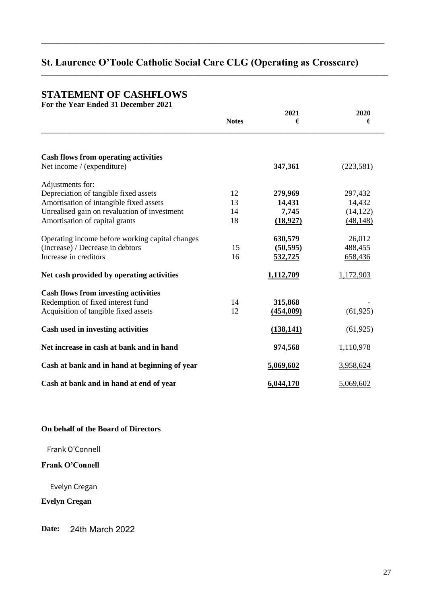\_\_\_\_\_\_\_\_\_\_\_\_\_\_\_\_\_\_\_\_\_\_\_\_\_\_\_\_\_\_\_\_\_\_\_\_\_\_\_\_\_\_\_\_\_\_\_\_\_\_\_\_\_\_\_\_\_\_\_\_\_\_\_\_\_\_\_\_\_\_\_\_\_\_\_\_\_\_\_\_\_\_\_\_\_\_\_

\_\_\_\_\_\_\_\_\_\_\_\_\_\_\_\_\_\_\_\_\_\_\_\_\_\_\_\_\_\_\_\_\_\_\_\_\_\_\_\_\_\_\_\_\_\_\_\_\_\_\_\_\_\_\_\_\_\_\_\_\_\_\_\_\_\_\_\_\_\_\_\_\_\_\_\_\_\_\_\_\_\_\_\_\_\_\_\_

# **STATEMENT OF CASHFLOWS**

**For the Year Ended 31 December 2021** 

|                                                 | <b>Notes</b> | 2021<br>€  | 2020<br>€  |
|-------------------------------------------------|--------------|------------|------------|
| <b>Cash flows from operating activities</b>     |              |            |            |
| Net income / (expenditure)                      |              | 347,361    | (223, 581) |
| Adjustments for:                                |              |            |            |
| Depreciation of tangible fixed assets           | 12           | 279,969    | 297,432    |
| Amortisation of intangible fixed assets         | 13           | 14,431     | 14,432     |
| Unrealised gain on revaluation of investment    | 14           | 7,745      | (14, 122)  |
| Amortisation of capital grants                  | 18           | (18,927)   | (48, 148)  |
| Operating income before working capital changes |              | 630,579    | 26,012     |
| (Increase) / Decrease in debtors                | 15           | (50, 595)  | 488,455    |
| Increase in creditors                           | 16           | 532,725    | 658,436    |
| Net cash provided by operating activities       |              | 1,112,709  | 1,172,903  |
| <b>Cash flows from investing activities</b>     |              |            |            |
| Redemption of fixed interest fund               | 14           | 315,868    |            |
| Acquisition of tangible fixed assets            | 12           | (454,009)  | (61, 925)  |
| Cash used in investing activities               |              | (138, 141) | (61, 925)  |
| Net increase in cash at bank and in hand        |              | 974,568    | 1,110,978  |
| Cash at bank and in hand at beginning of year   |              | 5,069,602  | 3,958,624  |
| Cash at bank and in hand at end of year         |              | 6,044,170  | 5,069,602  |

# **On behalf of the Board of Directors**

Frank O'Connell

# Frank O'Connell

Evelyn Cregan

**Evelyn Cregan** 

**Date:** 24th March 2022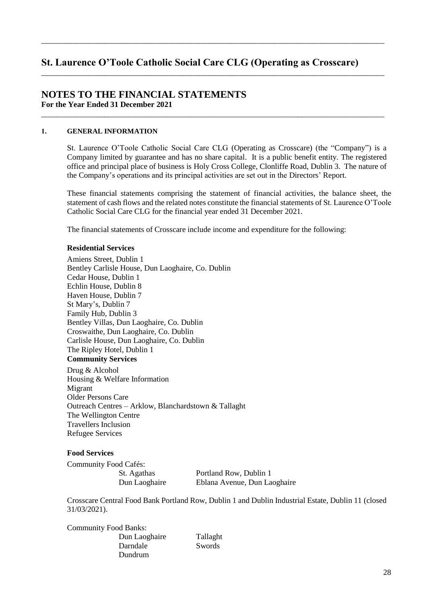\_\_\_\_\_\_\_\_\_\_\_\_\_\_\_\_\_\_\_\_\_\_\_\_\_\_\_\_\_\_\_\_\_\_\_\_\_\_\_\_\_\_\_\_\_\_\_\_\_\_\_\_\_\_\_\_\_\_\_\_\_\_\_\_\_\_\_\_\_\_\_\_\_\_\_\_\_\_\_\_\_\_\_\_\_\_\_

\_\_\_\_\_\_\_\_\_\_\_\_\_\_\_\_\_\_\_\_\_\_\_\_\_\_\_\_\_\_\_\_\_\_\_\_\_\_\_\_\_\_\_\_\_\_\_\_\_\_\_\_\_\_\_\_\_\_\_\_\_\_\_\_\_\_\_\_\_\_\_\_\_\_\_\_\_\_\_\_\_\_\_\_\_\_\_

\_\_\_\_\_\_\_\_\_\_\_\_\_\_\_\_\_\_\_\_\_\_\_\_\_\_\_\_\_\_\_\_\_\_\_\_\_\_\_\_\_\_\_\_\_\_\_\_\_\_\_\_\_\_\_\_\_\_\_\_\_\_\_\_\_\_\_\_\_\_\_\_\_\_\_\_\_\_\_\_\_\_\_\_\_\_\_

# **NOTES TO THE FINANCIAL STATEMENTS For the Year Ended 31 December 2021**

#### )& **GENERAL INFORMATION**

St. Laurence O'Toole Catholic Social Care CLG (Operating as Crosscare) (the "Company") is a Company limited by guarantee and has no share capital. It is a public benefit entity. The registered office and principal place of business is Holy Cross College, Clonliffe Road, Dublin 3. The nature of the Company's operations and its principal activities are set out in the Directors' Report.

These financial statements comprising the statement of financial activities, the balance sheet, the statement of cash flows and the related notes constitute the financial statements of St. Laurence O'Toole Catholic Social Care CLG for the financial year ended 31 December 2021.

The financial statements of Crosscare include income and expenditure for the following:

## **Residential Services**

Amiens Street, Dublin 1 Bentley Carlisle House, Dun Laoghaire, Co. Dublin Cedar House, Dublin 1 Echlin House, Dublin 8 Haven House, Dublin 7 St Mary's, Dublin 7 Family Hub, Dublin 3 Bentley Villas, Dun Laoghaire, Co. Dublin Croswaithe, Dun Laoghaire, Co. Dublin Carlisle House, Dun Laoghaire, Co. Dublin The Ripley Hotel, Dublin 1 **Community Services** 

Drug & Alcohol Housing & Welfare Information Migrant Older Persons Care Outreach Centres - Arklow, Blanchardstown & Tallaght The Wellington Centre Travellers Inclusion Refugee Services

## **Food Services**

Community Food Cafés:

St. Agathas Portland Row, Dublin 1 Dun Laoghaire Eblana Avenue, Dun Laoghaire

Crosscare Central Food Bank Portland Row, Dublin 1 and Dublin Industrial Estate, Dublin 11 (closed 31/03/2021).

| <b>Community Food Banks:</b> |  |
|------------------------------|--|
| Dun Laoghaire                |  |
| Darndale                     |  |
| Dundrum                      |  |

Tallaght Swords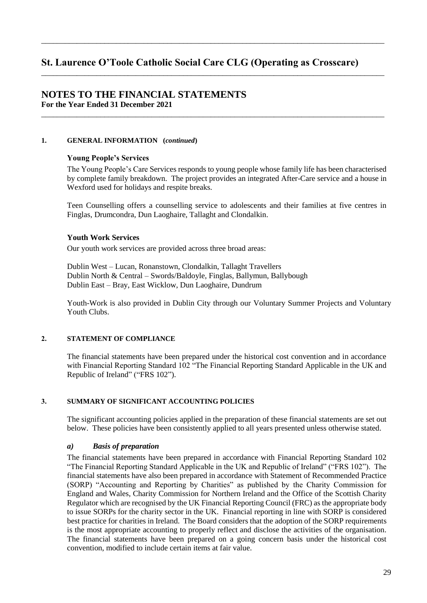\_\_\_\_\_\_\_\_\_\_\_\_\_\_\_\_\_\_\_\_\_\_\_\_\_\_\_\_\_\_\_\_\_\_\_\_\_\_\_\_\_\_\_\_\_\_\_\_\_\_\_\_\_\_\_\_\_\_\_\_\_\_\_\_\_\_\_\_\_\_\_\_\_\_\_\_\_\_\_\_\_\_\_\_\_\_\_

\_\_\_\_\_\_\_\_\_\_\_\_\_\_\_\_\_\_\_\_\_\_\_\_\_\_\_\_\_\_\_\_\_\_\_\_\_\_\_\_\_\_\_\_\_\_\_\_\_\_\_\_\_\_\_\_\_\_\_\_\_\_\_\_\_\_\_\_\_\_\_\_\_\_\_\_\_\_\_\_\_\_\_\_\_\_\_

\_\_\_\_\_\_\_\_\_\_\_\_\_\_\_\_\_\_\_\_\_\_\_\_\_\_\_\_\_\_\_\_\_\_\_\_\_\_\_\_\_\_\_\_\_\_\_\_\_\_\_\_\_\_\_\_\_\_\_\_\_\_\_\_\_\_\_\_\_\_\_\_\_\_\_\_\_\_\_\_\_\_\_\_\_\_\_

## **NOTES TO THE FINANCIAL STATEMENTS For the Year Ended 31 December 2021**

## **1. GENERAL INFORMATION (***continued***)**

#### Young People's Services

The Young People's Care Services responds to young people whose family life has been characterised by complete family breakdown. The project provides an integrated After-Care service and a house in Wexford used for holidays and respite breaks.

Teen Counselling offers a counselling service to adolescents and their families at five centres in Finglas, Drumcondra, Dun Laoghaire, Tallaght and Clondalkin.

#### **Youth Work Services**

Our youth work services are provided across three broad areas:

Dublin West - Lucan, Ronanstown, Clondalkin, Tallaght Travellers Dublin North & Central - Swords/Baldoyle, Finglas, Ballymun, Ballybough Dublin East - Bray, East Wicklow, Dun Laoghaire, Dundrum

Youth-Work is also provided in Dublin City through our Voluntary Summer Projects and Voluntary Youth Clubs.

### 2. **STATEMENT OF COMPLIANCE**

The financial statements have been prepared under the historical cost convention and in accordance with Financial Reporting Standard 102 "The Financial Reporting Standard Applicable in the UK and Republic of Ireland" ("FRS 102").

### +& **SUMMARY OF SIGNIFICANT ACCOUNTING POLICIES**

The significant accounting policies applied in the preparation of these financial statements are set out below. These policies have been consistently applied to all years presented unless otherwise stated.

### *a) Basis of preparation*

The financial statements have been prepared in accordance with Financial Reporting Standard 102 "The Financial Reporting Standard Applicable in the UK and Republic of Ireland" ("FRS 102"). The financial statements have also been prepared in accordance with Statement of Recommended Practice  $(SORP)$  "Accounting and Reporting by Charities" as published by the Charity Commission for England and Wales, Charity Commission for Northern Ireland and the Office of the Scottish Charity Regulator which are recognised by the UK Financial Reporting Council (FRC) as the appropriate body to issue SORPs for the charity sector in the UK. Financial reporting in line with SORP is considered best practice for charities in Ireland. The Board considers that the adoption of the SORP requirements is the most appropriate accounting to properly reflect and disclose the activities of the organisation. The financial statements have been prepared on a going concern basis under the historical cost convention, modified to include certain items at fair value.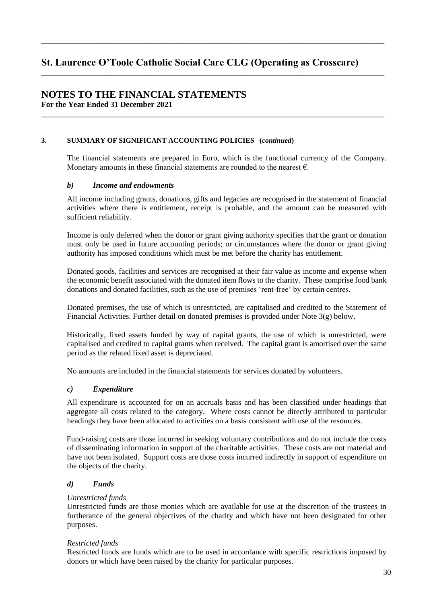\_\_\_\_\_\_\_\_\_\_\_\_\_\_\_\_\_\_\_\_\_\_\_\_\_\_\_\_\_\_\_\_\_\_\_\_\_\_\_\_\_\_\_\_\_\_\_\_\_\_\_\_\_\_\_\_\_\_\_\_\_\_\_\_\_\_\_\_\_\_\_\_\_\_\_\_\_\_\_\_\_\_\_\_\_\_\_

\_\_\_\_\_\_\_\_\_\_\_\_\_\_\_\_\_\_\_\_\_\_\_\_\_\_\_\_\_\_\_\_\_\_\_\_\_\_\_\_\_\_\_\_\_\_\_\_\_\_\_\_\_\_\_\_\_\_\_\_\_\_\_\_\_\_\_\_\_\_\_\_\_\_\_\_\_\_\_\_\_\_\_\_\_\_\_

\_\_\_\_\_\_\_\_\_\_\_\_\_\_\_\_\_\_\_\_\_\_\_\_\_\_\_\_\_\_\_\_\_\_\_\_\_\_\_\_\_\_\_\_\_\_\_\_\_\_\_\_\_\_\_\_\_\_\_\_\_\_\_\_\_\_\_\_\_\_\_\_\_\_\_\_\_\_\_\_\_\_\_\_\_\_\_

# **NOTES TO THE FINANCIAL STATEMENTS For the Year Ended 31 December 2021**

#### **3. SUMMARY OF SIGNIFICANT ACCOUNTING POLICIES (***continued***)**

The financial statements are prepared in Euro, which is the functional currency of the Company. Monetary amounts in these financial statements are rounded to the nearest  $\epsilon$ .

### *b) Income and endowments*

All income including grants, donations, gifts and legacies are recognised in the statement of financial activities where there is entitlement, receipt is probable, and the amount can be measured with sufficient reliability.

Income is only deferred when the donor or grant giving authority specifies that the grant or donation must only be used in future accounting periods; or circumstances where the donor or grant giving authority has imposed conditions which must be met before the charity has entitlement.

Donated goods, facilities and services are recognised at their fair value as income and expense when the economic benefit associated with the donated item flows to the charity. These comprise food bank donations and donated facilities, such as the use of premises 'rent-free' by certain centres.

Donated premises, the use of which is unrestricted, are capitalised and credited to the Statement of Financial Activities. Further detail on donated premises is provided under Note 3(g) below.

Historically, fixed assets funded by way of capital grants, the use of which is unrestricted, were capitalised and credited to capital grants when received. The capital grant is amortised over the same period as the related fixed asset is depreciated.

No amounts are included in the financial statements for services donated by volunteers.

### *c) Expenditure*

All expenditure is accounted for on an accruals basis and has been classified under headings that aggregate all costs related to the category. Where costs cannot be directly attributed to particular headings they have been allocated to activities on a basis consistent with use of the resources.

Fund-raising costs are those incurred in seeking voluntary contributions and do not include the costs of disseminating information in support of the charitable activities. These costs are not material and have not been isolated. Support costs are those costs incurred indirectly in support of expenditure on the objects of the charity.

### *d) Funds*

#### *Unrestricted funds*

Unrestricted funds are those monies which are available for use at the discretion of the trustees in furtherance of the general objectives of the charity and which have not been designated for other purposes.

#### *Restricted funds*

Restricted funds are funds which are to be used in accordance with specific restrictions imposed by donors or which have been raised by the charity for particular purposes.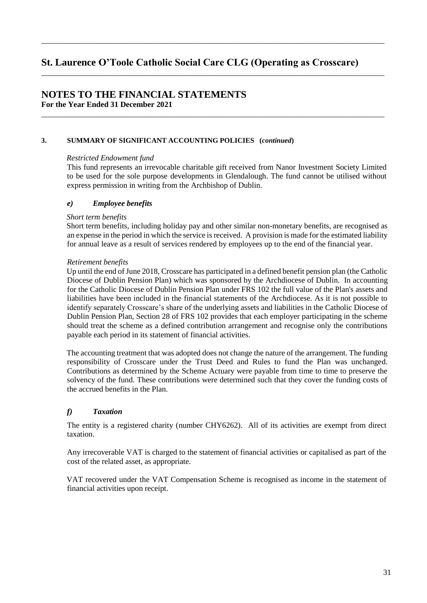\_\_\_\_\_\_\_\_\_\_\_\_\_\_\_\_\_\_\_\_\_\_\_\_\_\_\_\_\_\_\_\_\_\_\_\_\_\_\_\_\_\_\_\_\_\_\_\_\_\_\_\_\_\_\_\_\_\_\_\_\_\_\_\_\_\_\_\_\_\_\_\_\_\_\_\_\_\_\_\_\_\_\_\_\_\_\_

\_\_\_\_\_\_\_\_\_\_\_\_\_\_\_\_\_\_\_\_\_\_\_\_\_\_\_\_\_\_\_\_\_\_\_\_\_\_\_\_\_\_\_\_\_\_\_\_\_\_\_\_\_\_\_\_\_\_\_\_\_\_\_\_\_\_\_\_\_\_\_\_\_\_\_\_\_\_\_\_\_\_\_\_\_\_\_

\_\_\_\_\_\_\_\_\_\_\_\_\_\_\_\_\_\_\_\_\_\_\_\_\_\_\_\_\_\_\_\_\_\_\_\_\_\_\_\_\_\_\_\_\_\_\_\_\_\_\_\_\_\_\_\_\_\_\_\_\_\_\_\_\_\_\_\_\_\_\_\_\_\_\_\_\_\_\_\_\_\_\_\_\_\_\_

# **NOTES TO THE FINANCIAL STATEMENTS For the Year Ended 31 December 2021**

### **3. SUMMARY OF SIGNIFICANT ACCOUNTING POLICIES (***continued***)**

### *Restricted Endowment fund*

This fund represents an irrevocable charitable gift received from Nanor Investment Society Limited to be used for the sole purpose developments in Glendalough. The fund cannot be utilised without express permission in writing from the Archbishop of Dublin.

### *e) Employee benefits*

#### *Short term benefits*

Short term benefits, including holiday pay and other similar non-monetary benefits, are recognised as an expense in the period in which the service is received. A provision is made for the estimated liability for annual leave as a result of services rendered by employees up to the end of the financial year.

#### *Retirement benefits*

Up until the end of June 2018, Crosscare has participated in a defined benefit pension plan (the Catholic Diocese of Dublin Pension Plan) which was sponsored by the Archdiocese of Dublin. In accounting for the Catholic Diocese of Dublin Pension Plan under FRS 102 the full value of the Plan's assets and liabilities have been included in the financial statements of the Archdiocese. As it is not possible to  $\mathcal{X}_l$  identify separately Crosscare's share of the underlying assets and liabilities in the Catholic Diocese of Dublin Pension Plan, Section 28 of FRS 102 provides that each employer participating in the scheme should treat the scheme as a defined contribution arrangement and recognise only the contributions payable each period in its statement of financial activities.

The accounting treatment that was adopted does not change the nature of the arrangement. The funding responsibility of Crosscare under the Trust Deed and Rules to fund the Plan was unchanged. Contributions as determined by the Scheme Actuary were payable from time to time to preserve the solvency of the fund. These contributions were determined such that they cover the funding costs of the accrued benefits in the Plan.

# *f) Taxation*

The entity is a registered charity (number CHY6262). All of its activities are exempt from direct taxation.

Any irrecoverable VAT is charged to the statement of financial activities or capitalised as part of the cost of the related asset, as appropriate.

VAT recovered under the VAT Compensation Scheme is recognised as income in the statement of financial activities upon receipt.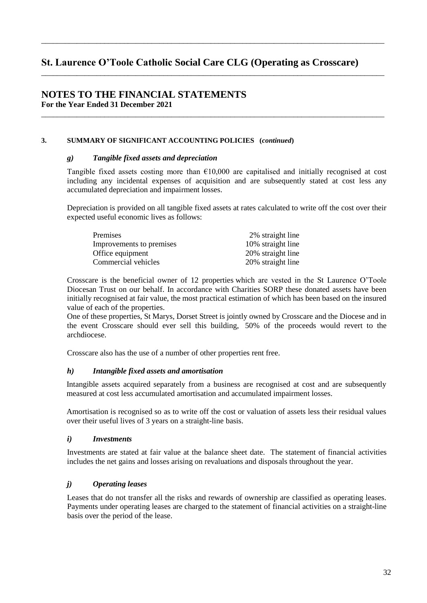\_\_\_\_\_\_\_\_\_\_\_\_\_\_\_\_\_\_\_\_\_\_\_\_\_\_\_\_\_\_\_\_\_\_\_\_\_\_\_\_\_\_\_\_\_\_\_\_\_\_\_\_\_\_\_\_\_\_\_\_\_\_\_\_\_\_\_\_\_\_\_\_\_\_\_\_\_\_\_\_\_\_\_\_\_\_\_

\_\_\_\_\_\_\_\_\_\_\_\_\_\_\_\_\_\_\_\_\_\_\_\_\_\_\_\_\_\_\_\_\_\_\_\_\_\_\_\_\_\_\_\_\_\_\_\_\_\_\_\_\_\_\_\_\_\_\_\_\_\_\_\_\_\_\_\_\_\_\_\_\_\_\_\_\_\_\_\_\_\_\_\_\_\_\_

\_\_\_\_\_\_\_\_\_\_\_\_\_\_\_\_\_\_\_\_\_\_\_\_\_\_\_\_\_\_\_\_\_\_\_\_\_\_\_\_\_\_\_\_\_\_\_\_\_\_\_\_\_\_\_\_\_\_\_\_\_\_\_\_\_\_\_\_\_\_\_\_\_\_\_\_\_\_\_\_\_\_\_\_\_\_\_

# **NOTES TO THE FINANCIAL STATEMENTS For the Year Ended 31 December 2021**

## **3. SUMMARY OF SIGNIFICANT ACCOUNTING POLICIES (***continued***)**

### *g) Tangible fixed assets and depreciation*

Tangible fixed assets costing more than  $\epsilon$ 10,000 are capitalised and initially recognised at cost including any incidental expenses of acquisition and are subsequently stated at cost less any accumulated depreciation and impairment losses.

Depreciation is provided on all tangible fixed assets at rates calculated to write off the cost over their expected useful economic lives as follows:

| Premises                 | 2% straight line  |
|--------------------------|-------------------|
| Improvements to premises | 10% straight line |
| Office equipment         | 20% straight line |
| Commercial vehicles      | 20% straight line |

Crosscare is the beneficial owner of 12 properties which are vested in the St Laurence O'Toole Diocesan Trust on our behalf. In accordance with Charities SORP these donated assets have been initially recognised at fair value, the most practical estimation of which has been based on the insured value of each of the properties.

One of these properties, St Marys, Dorset Street is jointly owned by Crosscare and the Diocese and in the event Crosscare should ever sell this building, 50% of the proceeds would revert to the archdiocese.

Crosscare also has the use of a number of other properties rent free.

# *h) Intangible fixed assets and amortisation*

Intangible assets acquired separately from a business are recognised at cost and are subsequently measured at cost less accumulated amortisation and accumulated impairment losses.

Amortisation is recognised so as to write off the cost or valuation of assets less their residual values over their useful lives of 3 years on a straight-line basis.

### *i) Investments*

Investments are stated at fair value at the balance sheet date. The statement of financial activities includes the net gains and losses arising on revaluations and disposals throughout the year.

# *j) Operating leases*

Leases that do not transfer all the risks and rewards of ownership are classified as operating leases. Payments under operating leases are charged to the statement of financial activities on a straight-line basis over the period of the lease.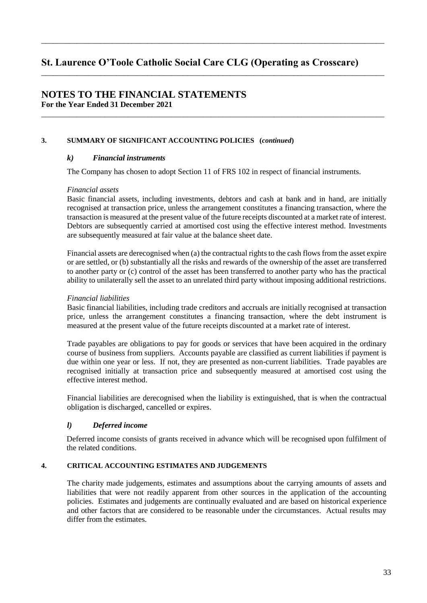\_\_\_\_\_\_\_\_\_\_\_\_\_\_\_\_\_\_\_\_\_\_\_\_\_\_\_\_\_\_\_\_\_\_\_\_\_\_\_\_\_\_\_\_\_\_\_\_\_\_\_\_\_\_\_\_\_\_\_\_\_\_\_\_\_\_\_\_\_\_\_\_\_\_\_\_\_\_\_\_\_\_\_\_\_\_\_

\_\_\_\_\_\_\_\_\_\_\_\_\_\_\_\_\_\_\_\_\_\_\_\_\_\_\_\_\_\_\_\_\_\_\_\_\_\_\_\_\_\_\_\_\_\_\_\_\_\_\_\_\_\_\_\_\_\_\_\_\_\_\_\_\_\_\_\_\_\_\_\_\_\_\_\_\_\_\_\_\_\_\_\_\_\_\_

\_\_\_\_\_\_\_\_\_\_\_\_\_\_\_\_\_\_\_\_\_\_\_\_\_\_\_\_\_\_\_\_\_\_\_\_\_\_\_\_\_\_\_\_\_\_\_\_\_\_\_\_\_\_\_\_\_\_\_\_\_\_\_\_\_\_\_\_\_\_\_\_\_\_\_\_\_\_\_\_\_\_\_\_\_\_\_

# **NOTES TO THE FINANCIAL STATEMENTS For the Year Ended 31 December 2021**

## **3. SUMMARY OF SIGNIFICANT ACCOUNTING POLICIES (***continued***)**

## *k) Financial instruments*

The Company has chosen to adopt Section 11 of FRS 102 in respect of financial instruments.

### *Financial assets*

Basic financial assets, including investments, debtors and cash at bank and in hand, are initially recognised at transaction price, unless the arrangement constitutes a financing transaction, where the transaction is measured at the present value of the future receipts discounted at a market rate of interest. Debtors are subsequently carried at amortised cost using the effective interest method. Investments are subsequently measured at fair value at the balance sheet date.

Financial assets are derecognised when (a) the contractual rights to the cash flows from the asset expire or are settled, or (b) substantially all the risks and rewards of the ownership of the asset are transferred to another party or (c) control of the asset has been transferred to another party who has the practical ability to unilaterally sell the asset to an unrelated third party without imposing additional restrictions.

## *Financial liabilities*

Basic financial liabilities, including trade creditors and accruals are initially recognised at transaction price, unless the arrangement constitutes a financing transaction, where the debt instrument is measured at the present value of the future receipts discounted at a market rate of interest.

Trade payables are obligations to pay for goods or services that have been acquired in the ordinary course of business from suppliers. Accounts payable are classified as current liabilities if payment is due within one year or less. If not, they are presented as non-current liabilities. Trade payables are recognised initially at transaction price and subsequently measured at amortised cost using the effective interest method.

Financial liabilities are derecognised when the liability is extinguished, that is when the contractual obligation is discharged, cancelled or expires.

# *l) Deferred income*

Deferred income consists of grants received in advance which will be recognised upon fulfilment of the related conditions.

## **4. CRITICAL ACCOUNTING ESTIMATES AND JUDGEMENTS**

The charity made judgements, estimates and assumptions about the carrying amounts of assets and liabilities that were not readily apparent from other sources in the application of the accounting policies. Estimates and judgements are continually evaluated and are based on historical experience and other factors that are considered to be reasonable under the circumstances. Actual results may differ from the estimates.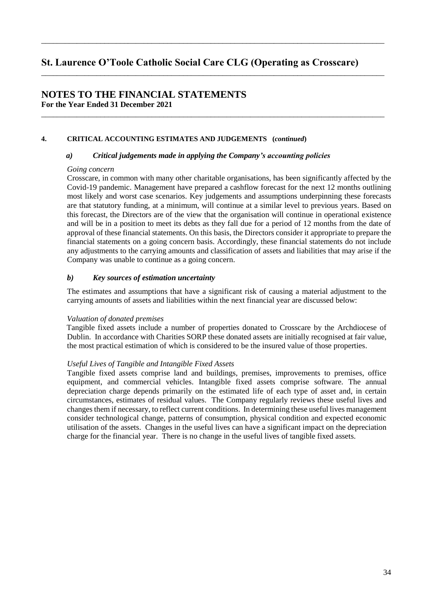\_\_\_\_\_\_\_\_\_\_\_\_\_\_\_\_\_\_\_\_\_\_\_\_\_\_\_\_\_\_\_\_\_\_\_\_\_\_\_\_\_\_\_\_\_\_\_\_\_\_\_\_\_\_\_\_\_\_\_\_\_\_\_\_\_\_\_\_\_\_\_\_\_\_\_\_\_\_\_\_\_\_\_\_\_\_\_

\_\_\_\_\_\_\_\_\_\_\_\_\_\_\_\_\_\_\_\_\_\_\_\_\_\_\_\_\_\_\_\_\_\_\_\_\_\_\_\_\_\_\_\_\_\_\_\_\_\_\_\_\_\_\_\_\_\_\_\_\_\_\_\_\_\_\_\_\_\_\_\_\_\_\_\_\_\_\_\_\_\_\_\_\_\_\_

\_\_\_\_\_\_\_\_\_\_\_\_\_\_\_\_\_\_\_\_\_\_\_\_\_\_\_\_\_\_\_\_\_\_\_\_\_\_\_\_\_\_\_\_\_\_\_\_\_\_\_\_\_\_\_\_\_\_\_\_\_\_\_\_\_\_\_\_\_\_\_\_\_\_\_\_\_\_\_\_\_\_\_\_\_\_\_

# **NOTES TO THE FINANCIAL STATEMENTS For the Year Ended 31 December 2021**

#### **4. CRITICAL ACCOUNTING ESTIMATES AND JUDGEMENTS (***continued***)**

#### *a*) *Critical judgements made in applying the Company's accounting policies*

#### *Going concern*

Crosscare, in common with many other charitable organisations, has been significantly affected by the Covid-19 pandemic. Management have prepared a cashflow forecast for the next 12 months outlining most likely and worst case scenarios. Key judgements and assumptions underpinning these forecasts are that statutory funding, at a minimum, will continue at a similar level to previous years. Based on this forecast, the Directors are of the view that the organisation will continue in operational existence and will be in a position to meet its debts as they fall due for a period of 12 months from the date of approval of these financial statements. On this basis, the Directors consider it appropriate to prepare the financial statements on a going concern basis. Accordingly, these financial statements do not include any adjustments to the carrying amounts and classification of assets and liabilities that may arise if the Company was unable to continue as a going concern.

### *b) Key sources of estimation uncertainty*

The estimates and assumptions that have a significant risk of causing a material adjustment to the carrying amounts of assets and liabilities within the next financial year are discussed below:

#### *Valuation of donated premises*

Tangible fixed assets include a number of properties donated to Crosscare by the Archdiocese of Dublin. In accordance with Charities SORP these donated assets are initially recognised at fair value, the most practical estimation of which is considered to be the insured value of those properties.

## *Useful Lives of Tangible and Intangible Fixed Assets*

Tangible fixed assets comprise land and buildings, premises, improvements to premises, office equipment, and commercial vehicles. Intangible fixed assets comprise software. The annual depreciation charge depends primarily on the estimated life of each type of asset and, in certain circumstances, estimates of residual values. The Company regularly reviews these useful lives and changes them if necessary, to reflect current conditions. In determining these useful lives management consider technological change, patterns of consumption, physical condition and expected economic utilisation of the assets. Changes in the useful lives can have a significant impact on the depreciation charge for the financial year. There is no change in the useful lives of tangible fixed assets.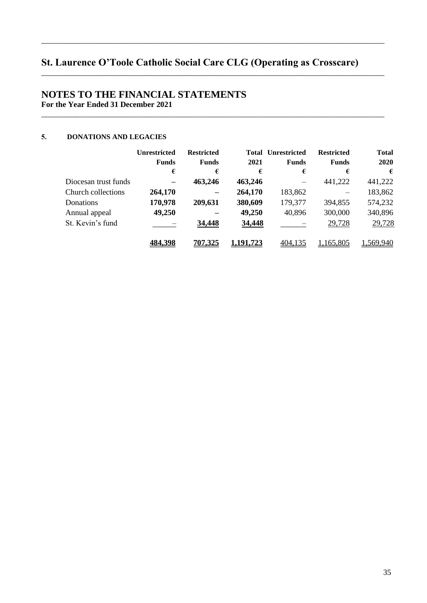\_\_\_\_\_\_\_\_\_\_\_\_\_\_\_\_\_\_\_\_\_\_\_\_\_\_\_\_\_\_\_\_\_\_\_\_\_\_\_\_\_\_\_\_\_\_\_\_\_\_\_\_\_\_\_\_\_\_\_\_\_\_\_\_\_\_\_\_\_\_\_\_\_\_\_\_\_\_\_\_\_\_\_\_\_\_\_

\_\_\_\_\_\_\_\_\_\_\_\_\_\_\_\_\_\_\_\_\_\_\_\_\_\_\_\_\_\_\_\_\_\_\_\_\_\_\_\_\_\_\_\_\_\_\_\_\_\_\_\_\_\_\_\_\_\_\_\_\_\_\_\_\_\_\_\_\_\_\_\_\_\_\_\_\_\_\_\_\_\_\_\_\_\_\_

\_\_\_\_\_\_\_\_\_\_\_\_\_\_\_\_\_\_\_\_\_\_\_\_\_\_\_\_\_\_\_\_\_\_\_\_\_\_\_\_\_\_\_\_\_\_\_\_\_\_\_\_\_\_\_\_\_\_\_\_\_\_\_\_\_\_\_\_\_\_\_\_\_\_\_\_\_\_\_\_\_\_\_\_\_\_\_

# **NOTES TO THE FINANCIAL STATEMENTS For the Year Ended 31 December 2021**

## 5. **DONATIONS AND LEGACIES**

|                      | <b>Unrestricted</b><br><b>Funds</b> | <b>Restricted</b><br><b>Funds</b> | 2021      | <b>Total Unrestricted</b><br><b>Funds</b> | <b>Restricted</b><br><b>Funds</b> | <b>Total</b><br>2020 |
|----------------------|-------------------------------------|-----------------------------------|-----------|-------------------------------------------|-----------------------------------|----------------------|
|                      | €                                   | €                                 | €         | €                                         | €                                 | €                    |
| Diocesan trust funds | $\overline{\phantom{m}}$            | 463,246                           | 463,246   |                                           | 441,222                           | 441,222              |
| Church collections   | 264,170                             |                                   | 264,170   | 183,862                                   |                                   | 183,862              |
| <b>Donations</b>     | 170,978                             | 209,631                           | 380,609   | 179,377                                   | 394,855                           | 574,232              |
| Annual appeal        | 49,250                              |                                   | 49,250    | 40,896                                    | 300,000                           | 340,896              |
| St. Kevin's fund     |                                     | 34,448                            | 34,448    |                                           | 29,728                            | 29,728               |
|                      | 484.398                             | <u>707.325</u>                    | 1.191.723 | 404,135                                   | 1,165,805                         | .569,940             |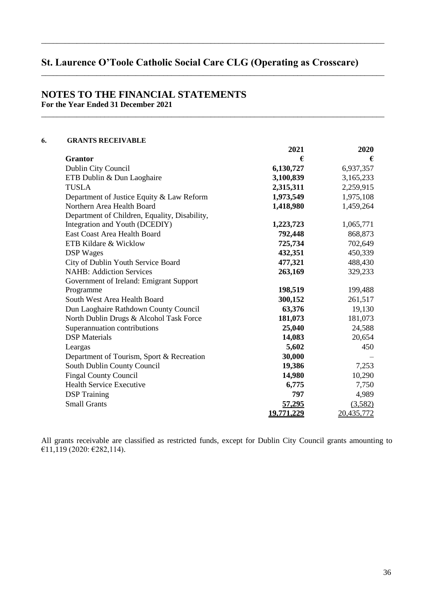\_\_\_\_\_\_\_\_\_\_\_\_\_\_\_\_\_\_\_\_\_\_\_\_\_\_\_\_\_\_\_\_\_\_\_\_\_\_\_\_\_\_\_\_\_\_\_\_\_\_\_\_\_\_\_\_\_\_\_\_\_\_\_\_\_\_\_\_\_\_\_\_\_\_\_\_\_\_\_\_\_\_\_\_\_\_\_

\_\_\_\_\_\_\_\_\_\_\_\_\_\_\_\_\_\_\_\_\_\_\_\_\_\_\_\_\_\_\_\_\_\_\_\_\_\_\_\_\_\_\_\_\_\_\_\_\_\_\_\_\_\_\_\_\_\_\_\_\_\_\_\_\_\_\_\_\_\_\_\_\_\_\_\_\_\_\_\_\_\_\_\_\_\_\_

\_\_\_\_\_\_\_\_\_\_\_\_\_\_\_\_\_\_\_\_\_\_\_\_\_\_\_\_\_\_\_\_\_\_\_\_\_\_\_\_\_\_\_\_\_\_\_\_\_\_\_\_\_\_\_\_\_\_\_\_\_\_\_\_\_\_\_\_\_\_\_\_\_\_\_\_\_\_\_\_\_\_\_\_\_\_\_

# **NOTES TO THE FINANCIAL STATEMENTS For the Year Ended 31 December 2021**

## .& **GRANTS RECEIVABLE**

|                                               | 2021          | 2020       |
|-----------------------------------------------|---------------|------------|
| <b>Grantor</b>                                | €             | €          |
| Dublin City Council                           | 6,130,727     | 6,937,357  |
| ETB Dublin & Dun Laoghaire                    | 3,100,839     | 3,165,233  |
| <b>TUSLA</b>                                  | 2,315,311     | 2,259,915  |
| Department of Justice Equity & Law Reform     | 1,973,549     | 1,975,108  |
| Northern Area Health Board                    | 1,418,980     | 1,459,264  |
| Department of Children, Equality, Disability, |               |            |
| Integration and Youth (DCEDIY)                | 1,223,723     | 1,065,771  |
| East Coast Area Health Board                  | 792,448       | 868,873    |
| ETB Kildare & Wicklow                         | 725,734       | 702,649    |
| <b>DSP</b> Wages                              | 432,351       | 450,339    |
| City of Dublin Youth Service Board            | 477,321       | 488,430    |
| <b>NAHB: Addiction Services</b>               | 263,169       | 329,233    |
| Government of Ireland: Emigrant Support       |               |            |
| Programme                                     | 198,519       | 199,488    |
| South West Area Health Board                  | 300,152       | 261,517    |
| Dun Laoghaire Rathdown County Council         | 63,376        | 19,130     |
| North Dublin Drugs & Alcohol Task Force       | 181,073       | 181,073    |
| Superannuation contributions                  | 25,040        | 24,588     |
| <b>DSP</b> Materials                          | 14,083        | 20,654     |
| Leargas                                       | 5,602         | 450        |
| Department of Tourism, Sport & Recreation     | 30,000        |            |
| South Dublin County Council                   | 19,386        | 7,253      |
| <b>Fingal County Council</b>                  | 14,980        | 10,290     |
| Health Service Executive                      | 6,775         | 7,750      |
| <b>DSP</b> Training                           | 797           | 4,989      |
| <b>Small Grants</b>                           | <u>57,295</u> | (3,582)    |
|                                               | 19.771.229    | 20,435,772 |

All grants receivable are classified as restricted funds, except for Dublin City Council grants amounting to  $£11,119 (2020:£282,114).$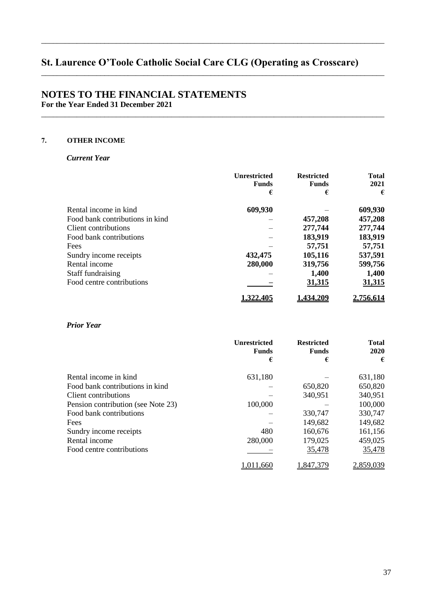\_\_\_\_\_\_\_\_\_\_\_\_\_\_\_\_\_\_\_\_\_\_\_\_\_\_\_\_\_\_\_\_\_\_\_\_\_\_\_\_\_\_\_\_\_\_\_\_\_\_\_\_\_\_\_\_\_\_\_\_\_\_\_\_\_\_\_\_\_\_\_\_\_\_\_\_\_\_\_\_\_\_\_\_\_\_\_

\_\_\_\_\_\_\_\_\_\_\_\_\_\_\_\_\_\_\_\_\_\_\_\_\_\_\_\_\_\_\_\_\_\_\_\_\_\_\_\_\_\_\_\_\_\_\_\_\_\_\_\_\_\_\_\_\_\_\_\_\_\_\_\_\_\_\_\_\_\_\_\_\_\_\_\_\_\_\_\_\_\_\_\_\_\_\_

\_\_\_\_\_\_\_\_\_\_\_\_\_\_\_\_\_\_\_\_\_\_\_\_\_\_\_\_\_\_\_\_\_\_\_\_\_\_\_\_\_\_\_\_\_\_\_\_\_\_\_\_\_\_\_\_\_\_\_\_\_\_\_\_\_\_\_\_\_\_\_\_\_\_\_\_\_\_\_\_\_\_\_\_\_\_\_

# **NOTES TO THE FINANCIAL STATEMENTS For the Year Ended 31 December 2021**

# /& **OTHER INCOME**

## *Current Year*

|                                 | <b>Unrestricted</b><br><b>Funds</b> | <b>Restricted</b><br><b>Funds</b> | <b>Total</b><br>2021 |
|---------------------------------|-------------------------------------|-----------------------------------|----------------------|
|                                 | €                                   | €                                 | €                    |
| Rental income in kind           | 609,930                             |                                   | 609,930              |
| Food bank contributions in kind |                                     | 457,208                           | 457,208              |
| Client contributions            |                                     | 277,744                           | 277,744              |
| Food bank contributions         |                                     | 183,919                           | 183,919              |
| Fees                            |                                     | 57,751                            | 57,751               |
| Sundry income receipts          | 432,475                             | 105,116                           | 537,591              |
| Rental income                   | 280,000                             | 319,756                           | 599,756              |
| Staff fundraising               |                                     | 1,400                             | 1,400                |
| Food centre contributions       |                                     | <u>31,315</u>                     | <u>31,315</u>        |
|                                 | l.322.405                           | .434.209                          | 2.756.614            |

# *Prior Year*

|                                    | <b>Unrestricted</b><br><b>Funds</b> | <b>Restricted</b><br><b>Funds</b> | <b>Total</b><br>2020 |
|------------------------------------|-------------------------------------|-----------------------------------|----------------------|
|                                    | €                                   | €                                 | €                    |
| Rental income in kind              | 631,180                             |                                   | 631,180              |
| Food bank contributions in kind    |                                     | 650,820                           | 650,820              |
| Client contributions               |                                     | 340,951                           | 340,951              |
| Pension contribution (see Note 23) | 100,000                             |                                   | 100,000              |
| Food bank contributions            |                                     | 330,747                           | 330,747              |
| Fees                               |                                     | 149,682                           | 149,682              |
| Sundry income receipts             | 480                                 | 160,676                           | 161,156              |
| Rental income                      | 280,000                             | 179,025                           | 459,025              |
| Food centre contributions          |                                     | 35,478                            | 35,478               |
|                                    | .011.660                            | ,847,379                          | 2,859,039            |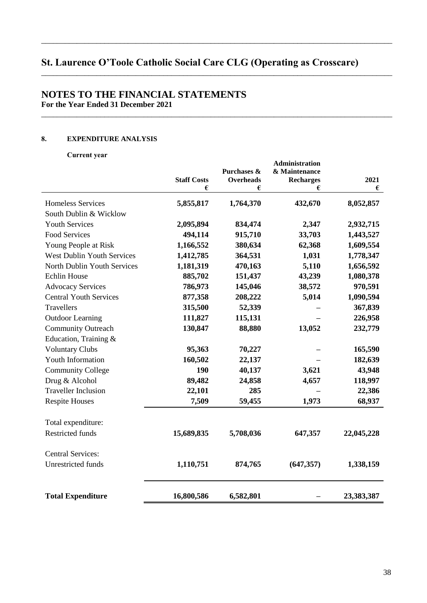\_\_\_\_\_\_\_\_\_\_\_\_\_\_\_\_\_\_\_\_\_\_\_\_\_\_\_\_\_\_\_\_\_\_\_\_\_\_\_\_\_\_\_\_\_\_\_\_\_\_\_\_\_\_\_\_\_\_\_\_\_\_\_\_\_\_\_\_\_\_\_\_\_\_\_\_\_\_\_\_\_\_\_\_\_\_\_\_\_

\_\_\_\_\_\_\_\_\_\_\_\_\_\_\_\_\_\_\_\_\_\_\_\_\_\_\_\_\_\_\_\_\_\_\_\_\_\_\_\_\_\_\_\_\_\_\_\_\_\_\_\_\_\_\_\_\_\_\_\_\_\_\_\_\_\_\_\_\_\_\_\_\_\_\_\_\_\_\_\_\_\_\_\_\_\_\_\_\_

\_\_\_\_\_\_\_\_\_\_\_\_\_\_\_\_\_\_\_\_\_\_\_\_\_\_\_\_\_\_\_\_\_\_\_\_\_\_\_\_\_\_\_\_\_\_\_\_\_\_\_\_\_\_\_\_\_\_\_\_\_\_\_\_\_\_\_\_\_\_\_\_\_\_\_\_\_\_\_\_\_\_\_\_\_\_\_\_\_

# **NOTES TO THE FINANCIAL STATEMENTS For the Year Ended 31 December 2021**

## 0& **EXPENDITURE ANALYSIS**

Current year

|                                   | <b>Staff Costs</b> | Purchases &<br><b>Overheads</b> | <b>Administration</b><br>& Maintenance<br><b>Recharges</b> | 2021       |
|-----------------------------------|--------------------|---------------------------------|------------------------------------------------------------|------------|
|                                   | €                  | €                               | €                                                          | €          |
| <b>Homeless Services</b>          | 5,855,817          | 1,764,370                       | 432,670                                                    | 8,052,857  |
| South Dublin & Wicklow            |                    |                                 |                                                            |            |
| <b>Youth Services</b>             | 2,095,894          | 834,474                         | 2,347                                                      | 2,932,715  |
| <b>Food Services</b>              | 494,114            | 915,710                         | 33,703                                                     | 1,443,527  |
| Young People at Risk              | 1,166,552          | 380,634                         | 62,368                                                     | 1,609,554  |
| <b>West Dublin Youth Services</b> | 1,412,785          | 364,531                         | 1,031                                                      | 1,778,347  |
| North Dublin Youth Services       | 1,181,319          | 470,163                         | 5,110                                                      | 1,656,592  |
| <b>Echlin House</b>               | 885,702            | 151,437                         | 43,239                                                     | 1,080,378  |
| <b>Advocacy Services</b>          | 786,973            | 145,046                         | 38,572                                                     | 970,591    |
| <b>Central Youth Services</b>     | 877,358            | 208,222                         | 5,014                                                      | 1,090,594  |
| Travellers                        | 315,500            | 52,339                          |                                                            | 367,839    |
| <b>Outdoor Learning</b>           | 111,827            | 115,131                         |                                                            | 226,958    |
| <b>Community Outreach</b>         | 130,847            | 88,880                          | 13,052                                                     | 232,779    |
| Education, Training &             |                    |                                 |                                                            |            |
| <b>Voluntary Clubs</b>            | 95,363             | 70,227                          |                                                            | 165,590    |
| Youth Information                 | 160,502            | 22,137                          |                                                            | 182,639    |
| <b>Community College</b>          | 190                | 40,137                          | 3,621                                                      | 43,948     |
| Drug & Alcohol                    | 89,482             | 24,858                          | 4,657                                                      | 118,997    |
| <b>Traveller Inclusion</b>        | 22,101             | 285                             |                                                            | 22,386     |
| <b>Respite Houses</b>             | 7,509              | 59,455                          | 1,973                                                      | 68,937     |
| Total expenditure:                |                    |                                 |                                                            |            |
| <b>Restricted funds</b>           | 15,689,835         | 5,708,036                       | 647,357                                                    | 22,045,228 |
| <b>Central Services:</b>          |                    |                                 |                                                            |            |
| Unrestricted funds                | 1,110,751          | 874,765                         | (647, 357)                                                 | 1,338,159  |
| <b>Total Expenditure</b>          | 16,800,586         | 6,582,801                       |                                                            | 23,383,387 |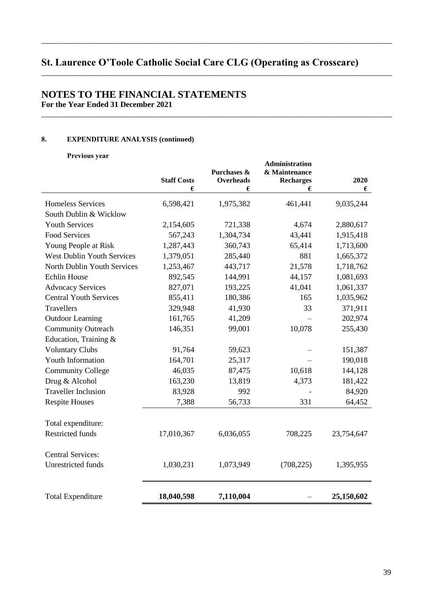\_\_\_\_\_\_\_\_\_\_\_\_\_\_\_\_\_\_\_\_\_\_\_\_\_\_\_\_\_\_\_\_\_\_\_\_\_\_\_\_\_\_\_\_\_\_\_\_\_\_\_\_\_\_\_\_\_\_\_\_\_\_\_\_\_\_\_\_\_\_\_\_\_\_\_\_\_\_\_\_\_\_\_\_\_\_\_\_\_

\_\_\_\_\_\_\_\_\_\_\_\_\_\_\_\_\_\_\_\_\_\_\_\_\_\_\_\_\_\_\_\_\_\_\_\_\_\_\_\_\_\_\_\_\_\_\_\_\_\_\_\_\_\_\_\_\_\_\_\_\_\_\_\_\_\_\_\_\_\_\_\_\_\_\_\_\_\_\_\_\_\_\_\_\_\_\_\_\_

\_\_\_\_\_\_\_\_\_\_\_\_\_\_\_\_\_\_\_\_\_\_\_\_\_\_\_\_\_\_\_\_\_\_\_\_\_\_\_\_\_\_\_\_\_\_\_\_\_\_\_\_\_\_\_\_\_\_\_\_\_\_\_\_\_\_\_\_\_\_\_\_\_\_\_\_\_\_\_\_\_\_\_\_\_\_\_\_\_

# **NOTES TO THE FINANCIAL STATEMENTS For the Year Ended 31 December 2021**

## 0& **EXPENDITURE ANALYSIS (continued)**

Previous year

|                                   | <b>Staff Costs</b><br>€ | Purchases &<br><b>Overheads</b><br>€ | <b>Administration</b><br>& Maintenance<br><b>Recharges</b><br>€ | 2020<br>€  |
|-----------------------------------|-------------------------|--------------------------------------|-----------------------------------------------------------------|------------|
| Homeless Services                 | 6,598,421               | 1,975,382                            | 461,441                                                         | 9,035,244  |
| South Dublin & Wicklow            |                         |                                      |                                                                 |            |
| <b>Youth Services</b>             | 2,154,605               | 721,338                              | 4,674                                                           | 2,880,617  |
| <b>Food Services</b>              | 567,243                 | 1,304,734                            | 43,441                                                          | 1,915,418  |
| Young People at Risk              | 1,287,443               | 360,743                              | 65,414                                                          | 1,713,600  |
| <b>West Dublin Youth Services</b> | 1,379,051               | 285,440                              | 881                                                             | 1,665,372  |
| North Dublin Youth Services       | 1,253,467               | 443,717                              | 21,578                                                          | 1,718,762  |
| <b>Echlin House</b>               | 892,545                 | 144,991                              | 44,157                                                          | 1,081,693  |
| <b>Advocacy Services</b>          | 827,071                 | 193,225                              | 41,041                                                          | 1,061,337  |
| <b>Central Youth Services</b>     | 855,411                 | 180,386                              | 165                                                             | 1,035,962  |
| Travellers                        | 329,948                 | 41,930                               | 33                                                              | 371,911    |
| <b>Outdoor Learning</b>           | 161,765                 | 41,209                               |                                                                 | 202,974    |
| <b>Community Outreach</b>         | 146,351                 | 99,001                               | 10,078                                                          | 255,430    |
| Education, Training &             |                         |                                      |                                                                 |            |
| <b>Voluntary Clubs</b>            | 91,764                  | 59,623                               |                                                                 | 151,387    |
| Youth Information                 | 164,701                 | 25,317                               |                                                                 | 190,018    |
| <b>Community College</b>          | 46,035                  | 87,475                               | 10,618                                                          | 144,128    |
| Drug & Alcohol                    | 163,230                 | 13,819                               | 4,373                                                           | 181,422    |
| <b>Traveller Inclusion</b>        | 83,928                  | 992                                  |                                                                 | 84,920     |
| <b>Respite Houses</b>             | 7,388                   | 56,733                               | 331                                                             | 64,452     |
| Total expenditure:                |                         |                                      |                                                                 |            |
| <b>Restricted funds</b>           | 17,010,367              | 6,036,055                            | 708,225                                                         | 23,754,647 |
| <b>Central Services:</b>          |                         |                                      |                                                                 |            |
| <b>Unrestricted funds</b>         | 1,030,231               | 1,073,949                            | (708, 225)                                                      | 1,395,955  |
| <b>Total Expenditure</b>          | 18,040,598              | 7,110,004                            |                                                                 | 25,150,602 |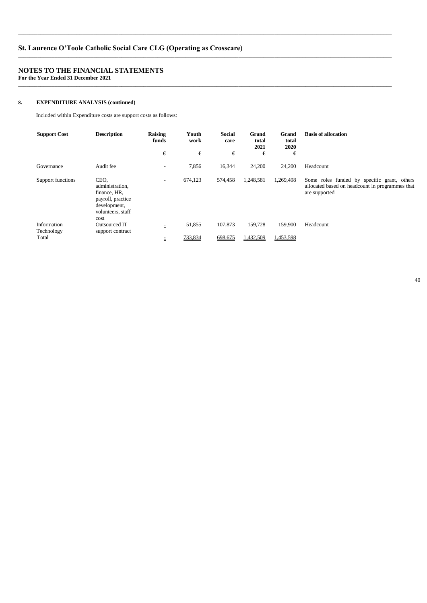# **NOTES TO THE FINANCIAL STATEMENTS**

**For the Year Ended 31 December 2021**  \_\_\_\_\_\_\_\_\_\_\_\_\_\_\_\_\_\_\_\_\_\_\_\_\_\_\_\_\_\_\_\_\_\_\_\_\_\_\_\_\_\_\_\_\_\_\_\_\_\_\_\_\_\_\_\_\_\_\_\_\_\_\_\_\_\_\_\_\_\_\_\_\_\_\_\_\_\_\_\_\_\_\_\_\_\_\_\_\_\_\_\_\_\_\_\_\_\_\_\_\_\_\_\_\_\_\_\_\_\_\_\_\_\_\_\_\_\_\_\_\_\_\_\_\_\_\_\_\_\_\_\_\_\_

## 0& **EXPENDITURE ANALYSIS (continued)**

Included within Expenditure costs are support costs as follows:

| <b>Support Cost</b>       | <b>Description</b>                                                                                        | Raising<br>funds         | Youth<br>work | <b>Social</b><br>care | Grand<br>total<br>2021 | Grand<br>total<br>2020 | <b>Basis of allocation</b>                                                                                      |
|---------------------------|-----------------------------------------------------------------------------------------------------------|--------------------------|---------------|-----------------------|------------------------|------------------------|-----------------------------------------------------------------------------------------------------------------|
|                           |                                                                                                           | €                        | €             | €                     | €                      | €                      |                                                                                                                 |
| Governance                | Audit fee                                                                                                 | $\overline{\phantom{a}}$ | 7,856         | 16,344                | 24,200                 | 24,200                 | Headcount                                                                                                       |
| Support functions         | CEO.<br>administration,<br>finance, HR,<br>payroll, practice<br>development,<br>volunteers, staff<br>cost | $\overline{\phantom{a}}$ | 674,123       | 574,458               | 1,248,581              | 1,269,498              | Some roles funded by specific grant, others<br>allocated based on headcount in programmes that<br>are supported |
| Information<br>Technology | Outsourced IT<br>support contract                                                                         | $\equiv$                 | 51,855        | 107,873               | 159.728                | 159,900                | Headcount                                                                                                       |
| Total                     |                                                                                                           | Ξ.                       | 733,834       | 698,675               | 1,432,509              | 1,453,598              |                                                                                                                 |

\_\_\_\_\_\_\_\_\_\_\_\_\_\_\_\_\_\_\_\_\_\_\_\_\_\_\_\_\_\_\_\_\_\_\_\_\_\_\_\_\_\_\_\_\_\_\_\_\_\_\_\_\_\_\_\_\_\_\_\_\_\_\_\_\_\_\_\_\_\_\_\_\_\_\_\_\_\_\_\_\_\_\_\_\_\_\_\_\_\_\_\_\_\_\_\_\_\_\_\_\_\_\_\_\_\_\_\_\_\_\_\_\_\_\_\_\_\_\_\_\_\_\_\_\_\_\_\_\_\_\_\_\_\_

\_\_\_\_\_\_\_\_\_\_\_\_\_\_\_\_\_\_\_\_\_\_\_\_\_\_\_\_\_\_\_\_\_\_\_\_\_\_\_\_\_\_\_\_\_\_\_\_\_\_\_\_\_\_\_\_\_\_\_\_\_\_\_\_\_\_\_\_\_\_\_\_\_\_\_\_\_\_\_\_\_\_\_\_\_\_\_\_\_\_\_\_\_\_\_\_\_\_\_\_\_\_\_\_\_\_\_\_\_\_\_\_\_\_\_\_\_\_\_\_\_\_\_\_\_\_\_\_\_\_\_\_\_\_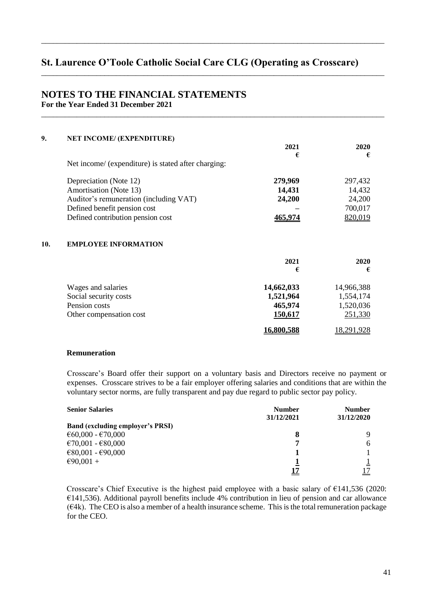\_\_\_\_\_\_\_\_\_\_\_\_\_\_\_\_\_\_\_\_\_\_\_\_\_\_\_\_\_\_\_\_\_\_\_\_\_\_\_\_\_\_\_\_\_\_\_\_\_\_\_\_\_\_\_\_\_\_\_\_\_\_\_\_\_\_\_\_\_\_\_\_\_\_\_\_\_\_\_\_\_\_\_\_\_\_\_

\_\_\_\_\_\_\_\_\_\_\_\_\_\_\_\_\_\_\_\_\_\_\_\_\_\_\_\_\_\_\_\_\_\_\_\_\_\_\_\_\_\_\_\_\_\_\_\_\_\_\_\_\_\_\_\_\_\_\_\_\_\_\_\_\_\_\_\_\_\_\_\_\_\_\_\_\_\_\_\_\_\_\_\_\_\_\_

\_\_\_\_\_\_\_\_\_\_\_\_\_\_\_\_\_\_\_\_\_\_\_\_\_\_\_\_\_\_\_\_\_\_\_\_\_\_\_\_\_\_\_\_\_\_\_\_\_\_\_\_\_\_\_\_\_\_\_\_\_\_\_\_\_\_\_\_\_\_\_\_\_\_\_\_\_\_\_\_\_\_\_\_\_\_\_

## **NOTES TO THE FINANCIAL STATEMENTS For the Year Ended 31 December 2021**

| 9.  | <b>NET INCOME/ (EXPENDITURE)</b>                    |            |            |
|-----|-----------------------------------------------------|------------|------------|
|     |                                                     | 2021       | 2020       |
|     |                                                     | €          | €          |
|     | Net income/ (expenditure) is stated after charging: |            |            |
|     | Depreciation (Note 12)                              | 279,969    | 297,432    |
|     | Amortisation (Note 13)                              | 14,431     | 14,432     |
|     | Auditor's remuneration (including VAT)              | 24,200     | 24,200     |
|     | Defined benefit pension cost                        |            | 700,017    |
|     | Defined contribution pension cost                   | 465,974    | 820,019    |
| 10. | <b>EMPLOYEE INFORMATION</b>                         |            |            |
|     |                                                     | 2021       | 2020       |
|     |                                                     | €          | €          |
|     | Wages and salaries                                  | 14,662,033 | 14,966,388 |
|     | Social security costs                               | 1,521,964  | 1,554,174  |
|     | Pension costs                                       | 465,974    | 1,520,036  |
|     | Other compensation cost                             | 150,617    | 251,330    |
|     |                                                     | 16,800,588 | 18,291,928 |

#### **Remuneration**

Crosscare's Board offer their support on a voluntary basis and Directors receive no payment or expenses. Crosscare strives to be a fair employer offering salaries and conditions that are within the voluntary sector norms, are fully transparent and pay due regard to public sector pay policy.

| <b>Senior Salaries</b>                  | <b>Number</b> | <b>Number</b> |
|-----------------------------------------|---------------|---------------|
|                                         | 31/12/2021    | 31/12/2020    |
| <b>Band (excluding employer's PRSI)</b> |               |               |
| €60,000 - €70,000                       | 8             |               |
| €70,001 - €80,000                       | 7             |               |
| €80,001 - €90,000                       |               |               |
| €90,001 +                               |               |               |
|                                         |               |               |

Crosscare's Chief Executive is the highest paid employee with a basic salary of  $\epsilon$ 141,536 (2020:  $E$ 141,536). Additional payroll benefits include 4% contribution in lieu of pension and car allowance  $(64k)$ . The CEO is also a member of a health insurance scheme. This is the total remuneration package for the CEO.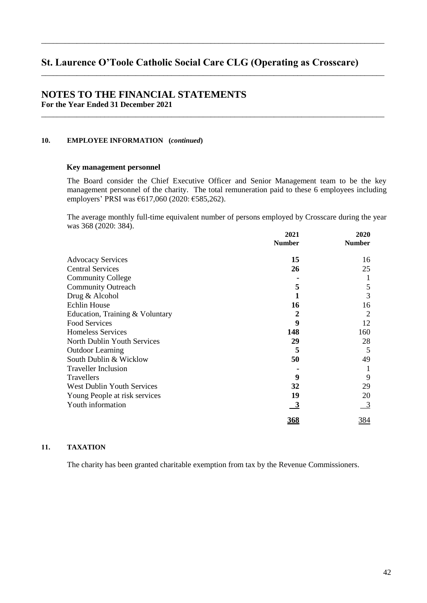\_\_\_\_\_\_\_\_\_\_\_\_\_\_\_\_\_\_\_\_\_\_\_\_\_\_\_\_\_\_\_\_\_\_\_\_\_\_\_\_\_\_\_\_\_\_\_\_\_\_\_\_\_\_\_\_\_\_\_\_\_\_\_\_\_\_\_\_\_\_\_\_\_\_\_\_\_\_\_\_\_\_\_\_\_\_\_

\_\_\_\_\_\_\_\_\_\_\_\_\_\_\_\_\_\_\_\_\_\_\_\_\_\_\_\_\_\_\_\_\_\_\_\_\_\_\_\_\_\_\_\_\_\_\_\_\_\_\_\_\_\_\_\_\_\_\_\_\_\_\_\_\_\_\_\_\_\_\_\_\_\_\_\_\_\_\_\_\_\_\_\_\_\_\_

\_\_\_\_\_\_\_\_\_\_\_\_\_\_\_\_\_\_\_\_\_\_\_\_\_\_\_\_\_\_\_\_\_\_\_\_\_\_\_\_\_\_\_\_\_\_\_\_\_\_\_\_\_\_\_\_\_\_\_\_\_\_\_\_\_\_\_\_\_\_\_\_\_\_\_\_\_\_\_\_\_\_\_\_\_\_\_

## **NOTES TO THE FINANCIAL STATEMENTS For the Year Ended 31 December 2021**

### **10. EMPLOYEE INFORMATION (***continued***)**

#### **Key management personnel**

The Board consider the Chief Executive Officer and Senior Management team to be the key management personnel of the charity. The total remuneration paid to these 6 employees including employers' PRSI was  $617,060$  (2020:  $6585,262$ ).

The average monthly full-time equivalent number of persons employed by Crosscare during the year was 368 (2020: 384).

|                                   | 2021          | 2020           |
|-----------------------------------|---------------|----------------|
|                                   | <b>Number</b> | <b>Number</b>  |
| <b>Advocacy Services</b>          | 15            | 16             |
| <b>Central Services</b>           | 26            | 25             |
| <b>Community College</b>          |               |                |
| <b>Community Outreach</b>         | 5             | 5              |
| Drug & Alcohol                    |               | 3              |
| <b>Echlin House</b>               | 16            | 16             |
| Education, Training & Voluntary   | 2             | $\overline{2}$ |
| <b>Food Services</b>              | 9             | 12             |
| Homeless Services                 | 148           | 160            |
| North Dublin Youth Services       | 29            | 28             |
| <b>Outdoor Learning</b>           | 5             | 5              |
| South Dublin & Wicklow            | 50            | 49             |
| <b>Traveller Inclusion</b>        |               |                |
| Travellers                        | 9             | 9              |
| <b>West Dublin Youth Services</b> | 32            | 29             |
| Young People at risk services     | 19            | 20             |
| Youth information                 | <u>3</u>      | $\overline{3}$ |
|                                   | 368           | 384            |

#### ))& **TAXATION**

The charity has been granted charitable exemption from tax by the Revenue Commissioners.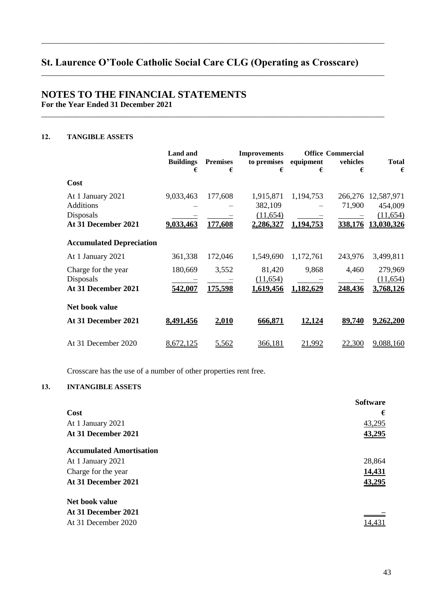\_\_\_\_\_\_\_\_\_\_\_\_\_\_\_\_\_\_\_\_\_\_\_\_\_\_\_\_\_\_\_\_\_\_\_\_\_\_\_\_\_\_\_\_\_\_\_\_\_\_\_\_\_\_\_\_\_\_\_\_\_\_\_\_\_\_\_\_\_\_\_\_\_\_\_\_\_\_\_\_\_\_\_\_\_\_\_

\_\_\_\_\_\_\_\_\_\_\_\_\_\_\_\_\_\_\_\_\_\_\_\_\_\_\_\_\_\_\_\_\_\_\_\_\_\_\_\_\_\_\_\_\_\_\_\_\_\_\_\_\_\_\_\_\_\_\_\_\_\_\_\_\_\_\_\_\_\_\_\_\_\_\_\_\_\_\_\_\_\_\_\_\_\_\_

\_\_\_\_\_\_\_\_\_\_\_\_\_\_\_\_\_\_\_\_\_\_\_\_\_\_\_\_\_\_\_\_\_\_\_\_\_\_\_\_\_\_\_\_\_\_\_\_\_\_\_\_\_\_\_\_\_\_\_\_\_\_\_\_\_\_\_\_\_\_\_\_\_\_\_\_\_\_\_\_\_\_\_\_\_\_\_

# **NOTES TO THE FINANCIAL STATEMENTS For the Year Ended 31 December 2021**

# 12. **TANGIBLE ASSETS**

|                                                                           | <b>Land and</b><br><b>Buildings</b><br>€ | <b>Premises</b><br>€ | <b>Improvements</b><br>to premises<br>€       | equipment<br>€         | <b>Office Commercial</b><br>vehicles<br>€ | <b>Total</b><br>€                                |
|---------------------------------------------------------------------------|------------------------------------------|----------------------|-----------------------------------------------|------------------------|-------------------------------------------|--------------------------------------------------|
| Cost                                                                      |                                          |                      |                                               |                        |                                           |                                                  |
| At 1 January 2021<br><b>Additions</b><br>Disposals<br>At 31 December 2021 | 9,033,463<br>9,033,463                   | 177,608<br>177,608   | 1,915,871<br>382,109<br>(11,654)<br>2,286,327 | 1,194,753<br>1,194,753 | 266,276<br>71,900<br>338,176              | 12,587,971<br>454,009<br>(11, 654)<br>13,030,326 |
| <b>Accumulated Depreciation</b>                                           |                                          |                      |                                               |                        |                                           |                                                  |
| At 1 January 2021                                                         | 361,338                                  | 172,046              | 1,549,690                                     | 1,172,761              | 243,976                                   | 3,499,811                                        |
| Charge for the year<br>Disposals<br>At 31 December 2021                   | 180,669<br>542,007                       | 3,552<br>175,598     | 81,420<br>(11, 654)<br>1,619,456              | 9,868<br>1,182,629     | 4,460<br>248,436                          | 279,969<br>(11, 654)<br>3,768,126                |
| Net book value                                                            |                                          |                      |                                               |                        |                                           |                                                  |
| At 31 December 2021                                                       | 8,491,456                                | 2,010                | 666,871                                       | 12,124                 | 89,740                                    | 9,262,200                                        |
| At 31 December 2020                                                       | 8,672,125                                | 5,562                | 366,181                                       | <u> 21.992</u>         | 22,300                                    | 9,088,160                                        |

Crosscare has the use of a number of other properties rent free.

# )+& **INTANGIBLE ASSETS**

|                                 | <b>Software</b> |
|---------------------------------|-----------------|
| Cost                            | €               |
| At 1 January 2021               | 43,295          |
| At 31 December 2021             | 43,295          |
| <b>Accumulated Amortisation</b> |                 |
| At 1 January 2021               | 28,864          |
| Charge for the year             | 14,431          |
| At 31 December 2021             | 43,295          |
| Net book value                  |                 |
| At 31 December 2021             |                 |
| At 31 December 2020             | 14,431          |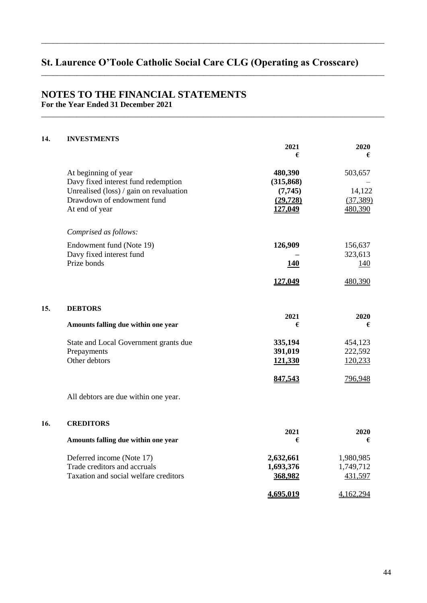\_\_\_\_\_\_\_\_\_\_\_\_\_\_\_\_\_\_\_\_\_\_\_\_\_\_\_\_\_\_\_\_\_\_\_\_\_\_\_\_\_\_\_\_\_\_\_\_\_\_\_\_\_\_\_\_\_\_\_\_\_\_\_\_\_\_\_\_\_\_\_\_\_\_\_\_\_\_\_\_\_\_\_\_\_\_\_

\_\_\_\_\_\_\_\_\_\_\_\_\_\_\_\_\_\_\_\_\_\_\_\_\_\_\_\_\_\_\_\_\_\_\_\_\_\_\_\_\_\_\_\_\_\_\_\_\_\_\_\_\_\_\_\_\_\_\_\_\_\_\_\_\_\_\_\_\_\_\_\_\_\_\_\_\_\_\_\_\_\_\_\_\_\_\_

\_\_\_\_\_\_\_\_\_\_\_\_\_\_\_\_\_\_\_\_\_\_\_\_\_\_\_\_\_\_\_\_\_\_\_\_\_\_\_\_\_\_\_\_\_\_\_\_\_\_\_\_\_\_\_\_\_\_\_\_\_\_\_\_\_\_\_\_\_\_\_\_\_\_\_\_\_\_\_\_\_\_\_\_\_\_\_

# **NOTES TO THE FINANCIAL STATEMENTS For the Year Ended 31 December 2021**

#### ),& **INVESTMENTS**

|     |                                                                                                                                                        | 2021<br>€                                                | 2020<br>€                                 |
|-----|--------------------------------------------------------------------------------------------------------------------------------------------------------|----------------------------------------------------------|-------------------------------------------|
|     | At beginning of year<br>Davy fixed interest fund redemption<br>Unrealised (loss) / gain on revaluation<br>Drawdown of endowment fund<br>At end of year | 480,390<br>(315, 868)<br>(7,745)<br>(29, 728)<br>127,049 | 503,657<br>14,122<br>(37, 389)<br>480,390 |
|     | Comprised as follows:                                                                                                                                  |                                                          |                                           |
|     | Endowment fund (Note 19)<br>Davy fixed interest fund<br>Prize bonds                                                                                    | 126,909<br><b>140</b><br>127,049                         | 156,637<br>323,613<br>140<br>480,390      |
| 15. | <b>DEBTORS</b>                                                                                                                                         |                                                          |                                           |
|     | Amounts falling due within one year                                                                                                                    | 2021<br>€                                                | 2020<br>€                                 |
|     | State and Local Government grants due<br>Prepayments<br>Other debtors                                                                                  | 335,194<br>391,019<br>121,330                            | 454,123<br>222,592<br>120,233             |
|     |                                                                                                                                                        | 847,543                                                  | 796,948                                   |
|     | All debtors are due within one year.                                                                                                                   |                                                          |                                           |
| 16. | <b>CREDITORS</b><br>Amounts falling due within one year                                                                                                | 2021<br>€                                                | 2020<br>€                                 |
|     | Deferred income (Note 17)<br>Trade creditors and accruals<br>Taxation and social welfare creditors                                                     | 2,632,661<br>1,693,376<br>368,982                        | 1,980,985<br>1,749,712<br>431,597         |
|     |                                                                                                                                                        | 4,695,019                                                | 4,162,294                                 |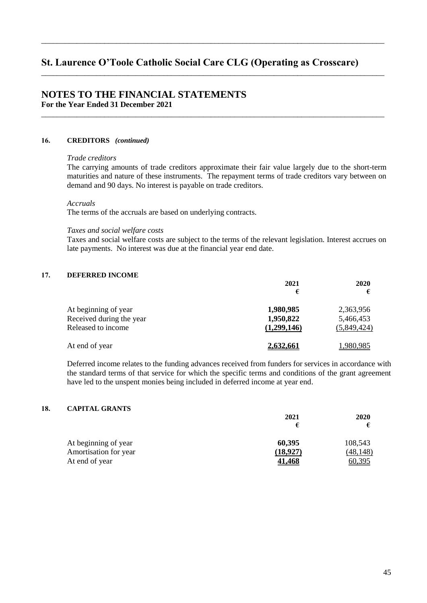\_\_\_\_\_\_\_\_\_\_\_\_\_\_\_\_\_\_\_\_\_\_\_\_\_\_\_\_\_\_\_\_\_\_\_\_\_\_\_\_\_\_\_\_\_\_\_\_\_\_\_\_\_\_\_\_\_\_\_\_\_\_\_\_\_\_\_\_\_\_\_\_\_\_\_\_\_\_\_\_\_\_\_\_\_\_\_

\_\_\_\_\_\_\_\_\_\_\_\_\_\_\_\_\_\_\_\_\_\_\_\_\_\_\_\_\_\_\_\_\_\_\_\_\_\_\_\_\_\_\_\_\_\_\_\_\_\_\_\_\_\_\_\_\_\_\_\_\_\_\_\_\_\_\_\_\_\_\_\_\_\_\_\_\_\_\_\_\_\_\_\_\_\_\_

\_\_\_\_\_\_\_\_\_\_\_\_\_\_\_\_\_\_\_\_\_\_\_\_\_\_\_\_\_\_\_\_\_\_\_\_\_\_\_\_\_\_\_\_\_\_\_\_\_\_\_\_\_\_\_\_\_\_\_\_\_\_\_\_\_\_\_\_\_\_\_\_\_\_\_\_\_\_\_\_\_\_\_\_\_\_\_

# **NOTES TO THE FINANCIAL STATEMENTS For the Year Ended 31 December 2021**

#### ).& **CREDITORS** *(continued)*

#### *Trade creditors*

The carrying amounts of trade creditors approximate their fair value largely due to the short-term maturities and nature of these instruments. The repayment terms of trade creditors vary between on demand and 90 days. No interest is payable on trade creditors.

#### *Accruals*

The terms of the accruals are based on underlying contracts.

#### *Taxes and social welfare costs*

Taxes and social welfare costs are subject to the terms of the relevant legislation. Interest accrues on late payments. No interest was due at the financial year end date.

### 17. **DEFERRED INCOME**

|                          | 2021        | 2020        |
|--------------------------|-------------|-------------|
|                          | €           |             |
| At beginning of year     | 1,980,985   | 2,363,956   |
| Received during the year | 1,950,822   | 5,466,453   |
| Released to income       | (1,299,146) | (5,849,424) |
| At end of year           | 2,632,661   | .980.985    |

Deferred income relates to the funding advances received from funders for services in accordance with the standard terms of that service for which the specific terms and conditions of the grant agreement have led to the unspent monies being included in deferred income at year end.

### )0& **CAPITAL GRANTS**

|                       | 2021          | 2020      |
|-----------------------|---------------|-----------|
|                       | €             |           |
| At beginning of year  | 60,395        | 108,543   |
| Amortisation for year | (18,927)      | (48, 148) |
| At end of year        | <u>41,468</u> | 60,395    |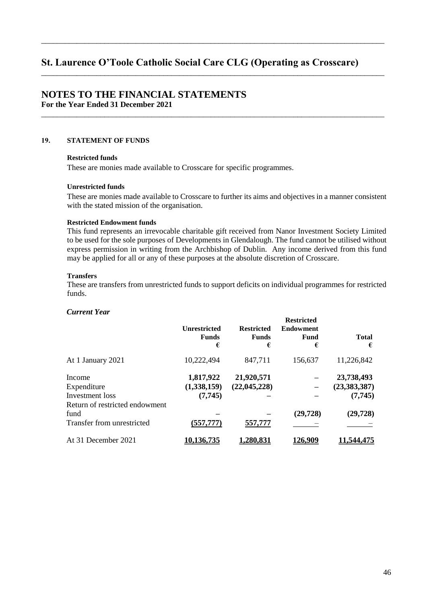\_\_\_\_\_\_\_\_\_\_\_\_\_\_\_\_\_\_\_\_\_\_\_\_\_\_\_\_\_\_\_\_\_\_\_\_\_\_\_\_\_\_\_\_\_\_\_\_\_\_\_\_\_\_\_\_\_\_\_\_\_\_\_\_\_\_\_\_\_\_\_\_\_\_\_\_\_\_\_\_\_\_\_\_\_\_\_

\_\_\_\_\_\_\_\_\_\_\_\_\_\_\_\_\_\_\_\_\_\_\_\_\_\_\_\_\_\_\_\_\_\_\_\_\_\_\_\_\_\_\_\_\_\_\_\_\_\_\_\_\_\_\_\_\_\_\_\_\_\_\_\_\_\_\_\_\_\_\_\_\_\_\_\_\_\_\_\_\_\_\_\_\_\_\_

\_\_\_\_\_\_\_\_\_\_\_\_\_\_\_\_\_\_\_\_\_\_\_\_\_\_\_\_\_\_\_\_\_\_\_\_\_\_\_\_\_\_\_\_\_\_\_\_\_\_\_\_\_\_\_\_\_\_\_\_\_\_\_\_\_\_\_\_\_\_\_\_\_\_\_\_\_\_\_\_\_\_\_\_\_\_\_

## **NOTES TO THE FINANCIAL STATEMENTS For the Year Ended 31 December 2021**

## 19. **STATEMENT OF FUNDS**

#### **Restricted funds**

These are monies made available to Crosscare for specific programmes.

#### **Unrestricted funds**

These are monies made available to Crosscare to further its aims and objectives in a manner consistent with the stated mission of the organisation.

#### **Restricted Endowment funds**

This fund represents an irrevocable charitable gift received from Nanor Investment Society Limited to be used for the sole purposes of Developments in Glendalough. The fund cannot be utilised without express permission in writing from the Archbishop of Dublin. Any income derived from this fund may be applied for all or any of these purposes at the absolute discretion of Crosscare.

#### **Transfers**

These are transfers from unrestricted funds to support deficits on individual programmes for restricted funds.

#### *Current Year*

|                                                                            | <b>Unrestricted</b><br><b>Funds</b><br>€ | <b>Restricted</b><br><b>Funds</b><br>€ | <b>Restricted</b><br><b>Endowment</b><br>Fund<br>€ | <b>Total</b><br>€                        |
|----------------------------------------------------------------------------|------------------------------------------|----------------------------------------|----------------------------------------------------|------------------------------------------|
| At 1 January 2021                                                          | 10,222,494                               | 847,711                                | 156,637                                            | 11,226,842                               |
| Income<br>Expenditure<br>Investment loss<br>Return of restricted endowment | 1,817,922<br>(1,338,159)<br>(7,745)      | 21,920,571<br>(22, 045, 228)           |                                                    | 23,738,493<br>(23, 383, 387)<br>(7, 745) |
| fund<br>Transfer from unrestricted                                         | (557, 777)                               | 557,777                                | (29, 728)                                          | (29, 728)                                |
| At 31 December 2021                                                        | <u>10,136,735</u>                        | 1,280,831                              | 126.909                                            | 1.544.475                                |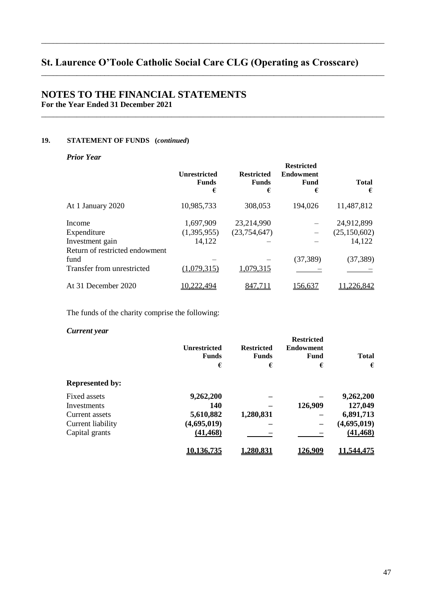\_\_\_\_\_\_\_\_\_\_\_\_\_\_\_\_\_\_\_\_\_\_\_\_\_\_\_\_\_\_\_\_\_\_\_\_\_\_\_\_\_\_\_\_\_\_\_\_\_\_\_\_\_\_\_\_\_\_\_\_\_\_\_\_\_\_\_\_\_\_\_\_\_\_\_\_\_\_\_\_\_\_\_\_\_\_\_

\_\_\_\_\_\_\_\_\_\_\_\_\_\_\_\_\_\_\_\_\_\_\_\_\_\_\_\_\_\_\_\_\_\_\_\_\_\_\_\_\_\_\_\_\_\_\_\_\_\_\_\_\_\_\_\_\_\_\_\_\_\_\_\_\_\_\_\_\_\_\_\_\_\_\_\_\_\_\_\_\_\_\_\_\_\_\_

\_\_\_\_\_\_\_\_\_\_\_\_\_\_\_\_\_\_\_\_\_\_\_\_\_\_\_\_\_\_\_\_\_\_\_\_\_\_\_\_\_\_\_\_\_\_\_\_\_\_\_\_\_\_\_\_\_\_\_\_\_\_\_\_\_\_\_\_\_\_\_\_\_\_\_\_\_\_\_\_\_\_\_\_\_\_\_

# **NOTES TO THE FINANCIAL STATEMENTS For the Year Ended 31 December 2021**

# **19. STATEMENT OF FUNDS (***continued***)**

*Prior Year* 

|                                                                            | <b>Unrestricted</b><br><b>Funds</b><br>€ | <b>Restricted</b><br><b>Funds</b><br>€ | <b>Restricted</b><br><b>Endowment</b><br><b>Fund</b><br>€ | <b>Total</b><br>€                      |
|----------------------------------------------------------------------------|------------------------------------------|----------------------------------------|-----------------------------------------------------------|----------------------------------------|
| At 1 January 2020                                                          | 10,985,733                               | 308,053                                | 194,026                                                   | 11,487,812                             |
| Income<br>Expenditure<br>Investment gain<br>Return of restricted endowment | 1,697,909<br>(1,395,955)<br>14,122       | 23,214,990<br>(23,754,647)             |                                                           | 24,912,899<br>(25, 150, 602)<br>14,122 |
| fund<br>Transfer from unrestricted                                         | (1,079,315)                              | 1,079,315                              | (37, 389)                                                 | (37, 389)                              |
| At 31 December 2020                                                        | .222.494                                 |                                        | 156.637                                                   | .226,842                               |

The funds of the charity comprise the following:

## *Current year*

| own roman your         | <b>Unrestricted</b><br><b>Funds</b><br>€ | <b>Restricted</b><br><b>Funds</b><br>€ | <b>Restricted</b><br><b>Endowment</b><br>Fund<br>€ | <b>Total</b><br>€ |
|------------------------|------------------------------------------|----------------------------------------|----------------------------------------------------|-------------------|
| <b>Represented by:</b> |                                          |                                        |                                                    |                   |
| Fixed assets           | 9,262,200                                |                                        |                                                    | 9,262,200         |
| Investments            | 140                                      |                                        | 126,909                                            | 127,049           |
| Current assets         | 5,610,882                                | 1,280,831                              |                                                    | 6,891,713         |
| Current liability      | (4,695,019)                              |                                        |                                                    | (4,695,019)       |
| Capital grants         | (41, 468)                                |                                        |                                                    | (41, 468)         |
|                        | <u>10.136.735</u>                        | l.280.831                              | <u>126.909</u>                                     | <u>11.544.475</u> |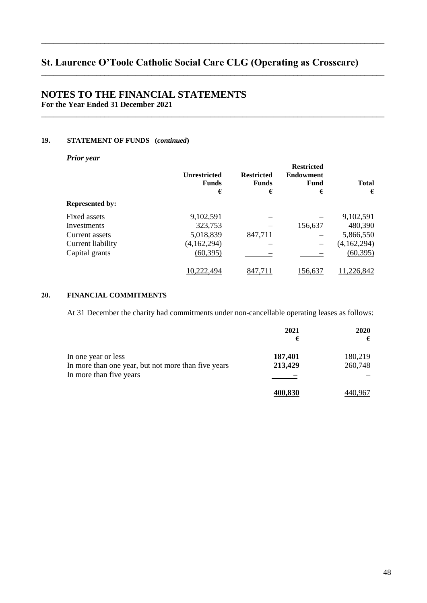\_\_\_\_\_\_\_\_\_\_\_\_\_\_\_\_\_\_\_\_\_\_\_\_\_\_\_\_\_\_\_\_\_\_\_\_\_\_\_\_\_\_\_\_\_\_\_\_\_\_\_\_\_\_\_\_\_\_\_\_\_\_\_\_\_\_\_\_\_\_\_\_\_\_\_\_\_\_\_\_\_\_\_\_\_\_\_

\_\_\_\_\_\_\_\_\_\_\_\_\_\_\_\_\_\_\_\_\_\_\_\_\_\_\_\_\_\_\_\_\_\_\_\_\_\_\_\_\_\_\_\_\_\_\_\_\_\_\_\_\_\_\_\_\_\_\_\_\_\_\_\_\_\_\_\_\_\_\_\_\_\_\_\_\_\_\_\_\_\_\_\_\_\_\_

\_\_\_\_\_\_\_\_\_\_\_\_\_\_\_\_\_\_\_\_\_\_\_\_\_\_\_\_\_\_\_\_\_\_\_\_\_\_\_\_\_\_\_\_\_\_\_\_\_\_\_\_\_\_\_\_\_\_\_\_\_\_\_\_\_\_\_\_\_\_\_\_\_\_\_\_\_\_\_\_\_\_\_\_\_\_\_

# **NOTES TO THE FINANCIAL STATEMENTS For the Year Ended 31 December 2021**

## **19. STATEMENT OF FUNDS (***continued***)**

*Prior year*

|                        | <b>Unrestricted</b><br><b>Funds</b><br>€ | <b>Restricted</b><br><b>Funds</b><br>€ | Restricted<br><b>Endowment</b><br>Fund<br>€ | <b>Total</b><br>€ |
|------------------------|------------------------------------------|----------------------------------------|---------------------------------------------|-------------------|
| <b>Represented by:</b> |                                          |                                        |                                             |                   |
| Fixed assets           | 9,102,591                                |                                        |                                             | 9,102,591         |
| Investments            | 323,753                                  |                                        | 156,637                                     | 480,390           |
| Current assets         | 5,018,839                                | 847,711                                |                                             | 5,866,550         |
| Current liability      | (4,162,294)                              |                                        |                                             | (4,162,294)       |
| Capital grants         | (60, 395)                                |                                        |                                             | (60, 395)         |
|                        | 10,222,494                               | 847.711                                | <u>156,637</u>                              | <u>.226,842</u>   |

**Restricted** 

# 20. FINANCIAL COMMITMENTS

At 31 December the charity had commitments under non-cancellable operating leases as follows:

|                                                     | 2021<br>€ | <b>2020</b><br>€ |
|-----------------------------------------------------|-----------|------------------|
| In one year or less                                 | 187,401   | 180,219          |
| In more than one year, but not more than five years | 213,429   | 260,748          |
| In more than five years                             |           |                  |
|                                                     | 400,830   |                  |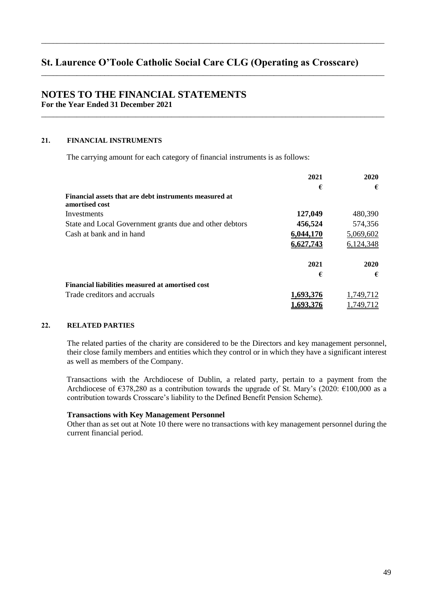\_\_\_\_\_\_\_\_\_\_\_\_\_\_\_\_\_\_\_\_\_\_\_\_\_\_\_\_\_\_\_\_\_\_\_\_\_\_\_\_\_\_\_\_\_\_\_\_\_\_\_\_\_\_\_\_\_\_\_\_\_\_\_\_\_\_\_\_\_\_\_\_\_\_\_\_\_\_\_\_\_\_\_\_\_\_\_

\_\_\_\_\_\_\_\_\_\_\_\_\_\_\_\_\_\_\_\_\_\_\_\_\_\_\_\_\_\_\_\_\_\_\_\_\_\_\_\_\_\_\_\_\_\_\_\_\_\_\_\_\_\_\_\_\_\_\_\_\_\_\_\_\_\_\_\_\_\_\_\_\_\_\_\_\_\_\_\_\_\_\_\_\_\_\_

\_\_\_\_\_\_\_\_\_\_\_\_\_\_\_\_\_\_\_\_\_\_\_\_\_\_\_\_\_\_\_\_\_\_\_\_\_\_\_\_\_\_\_\_\_\_\_\_\_\_\_\_\_\_\_\_\_\_\_\_\_\_\_\_\_\_\_\_\_\_\_\_\_\_\_\_\_\_\_\_\_\_\_\_\_\_\_

## **NOTES TO THE FINANCIAL STATEMENTS For the Year Ended 31 December 2021**

## 21. **FINANCIAL INSTRUMENTS**

The carrying amount for each category of financial instruments is as follows:

|                                                                          | 2021      | 2020      |
|--------------------------------------------------------------------------|-----------|-----------|
|                                                                          | €         | €         |
| Financial assets that are debt instruments measured at<br>amortised cost |           |           |
| Investments                                                              | 127,049   | 480,390   |
| State and Local Government grants due and other debtors                  | 456,524   | 574,356   |
| Cash at bank and in hand                                                 | 6,044,170 | 5,069,602 |
|                                                                          | 6,627,743 | 6,124,348 |
|                                                                          | 2021      | 2020      |
|                                                                          | €         | €         |
| Financial liabilities measured at amortised cost                         |           |           |
| Trade creditors and accruals                                             | 1,693,376 | 1,749,712 |
|                                                                          | 1,693,376 | 1.749.712 |

## 22. RELATED PARTIES

The related parties of the charity are considered to be the Directors and key management personnel, their close family members and entities which they control or in which they have a significant interest as well as members of the Company.

Transactions with the Archdiocese of Dublin, a related party, pertain to a payment from the Archdiocese of  $\epsilon$ 378,280 as a contribution towards the upgrade of St. Mary's (2020:  $\epsilon$ 100,000 as a contribution towards Crosscare's liability to the Defined Benefit Pension Scheme).

#### **Transactions with Key Management Personnel**

Other than as set out at Note 10 there were no transactions with key management personnel during the current financial period.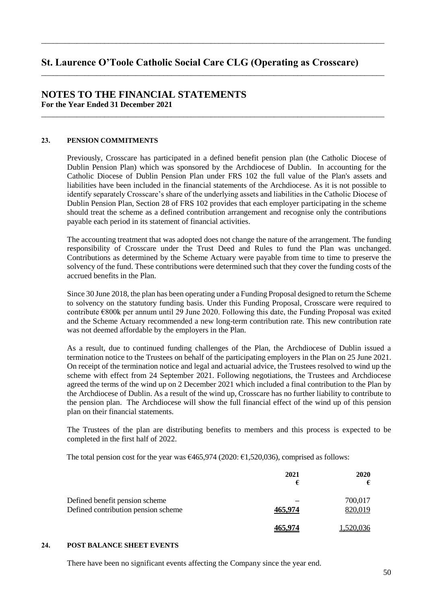\_\_\_\_\_\_\_\_\_\_\_\_\_\_\_\_\_\_\_\_\_\_\_\_\_\_\_\_\_\_\_\_\_\_\_\_\_\_\_\_\_\_\_\_\_\_\_\_\_\_\_\_\_\_\_\_\_\_\_\_\_\_\_\_\_\_\_\_\_\_\_\_\_\_\_\_\_\_\_\_\_\_\_\_\_\_\_

\_\_\_\_\_\_\_\_\_\_\_\_\_\_\_\_\_\_\_\_\_\_\_\_\_\_\_\_\_\_\_\_\_\_\_\_\_\_\_\_\_\_\_\_\_\_\_\_\_\_\_\_\_\_\_\_\_\_\_\_\_\_\_\_\_\_\_\_\_\_\_\_\_\_\_\_\_\_\_\_\_\_\_\_\_\_\_

\_\_\_\_\_\_\_\_\_\_\_\_\_\_\_\_\_\_\_\_\_\_\_\_\_\_\_\_\_\_\_\_\_\_\_\_\_\_\_\_\_\_\_\_\_\_\_\_\_\_\_\_\_\_\_\_\_\_\_\_\_\_\_\_\_\_\_\_\_\_\_\_\_\_\_\_\_\_\_\_\_\_\_\_\_\_\_

# **NOTES TO THE FINANCIAL STATEMENTS For the Year Ended 31 December 2021**

#### 23. **PENSION COMMITMENTS**

Previously, Crosscare has participated in a defined benefit pension plan (the Catholic Diocese of Dublin Pension Plan) which was sponsored by the Archdiocese of Dublin. In accounting for the Catholic Diocese of Dublin Pension Plan under FRS 102 the full value of the Plan's assets and liabilities have been included in the financial statements of the Archdiocese. As it is not possible to identify separately Crosscare's share of the underlying assets and liabilities in the Catholic Diocese of Dublin Pension Plan, Section 28 of FRS 102 provides that each employer participating in the scheme should treat the scheme as a defined contribution arrangement and recognise only the contributions payable each period in its statement of financial activities.

The accounting treatment that was adopted does not change the nature of the arrangement. The funding responsibility of Crosscare under the Trust Deed and Rules to fund the Plan was unchanged. Contributions as determined by the Scheme Actuary were payable from time to time to preserve the solvency of the fund. These contributions were determined such that they cover the funding costs of the accrued benefits in the Plan.

Since 30 June 2018, the plan has been operating under a Funding Proposal designed to return the Scheme to solvency on the statutory funding basis. Under this Funding Proposal, Crosscare were required to contribute  $\epsilon$ 800k per annum until 29 June 2020. Following this date, the Funding Proposal was exited and the Scheme Actuary recommended a new long-term contribution rate. This new contribution rate was not deemed affordable by the employers in the Plan.

As a result, due to continued funding challenges of the Plan, the Archdiocese of Dublin issued a termination notice to the Trustees on behalf of the participating employers in the Plan on 25 June 2021. On receipt of the termination notice and legal and actuarial advice, the Trustees resolved to wind up the scheme with effect from 24 September 2021. Following negotiations, the Trustees and Archdiocese agreed the terms of the wind up on 2 December 2021 which included a final contribution to the Plan by the Archdiocese of Dublin. As a result of the wind up, Crosscare has no further liability to contribute to the pension plan. The Archdiocese will show the full financial effect of the wind up of this pension plan on their financial statements.

The Trustees of the plan are distributing benefits to members and this process is expected to be completed in the first half of 2022.

The total pension cost for the year was  $\epsilon$ 465,974 (2020:  $\epsilon$ 1,520,036), comprised as follows:

|                                                                       | 2021<br>€ | <b>2020</b><br>€   |
|-----------------------------------------------------------------------|-----------|--------------------|
| Defined benefit pension scheme<br>Defined contribution pension scheme | 465,974   | 700,017<br>820,019 |
|                                                                       | 465.974   | 1,520,036          |

## 24. **POST BALANCE SHEET EVENTS**

There have been no significant events affecting the Company since the year end.